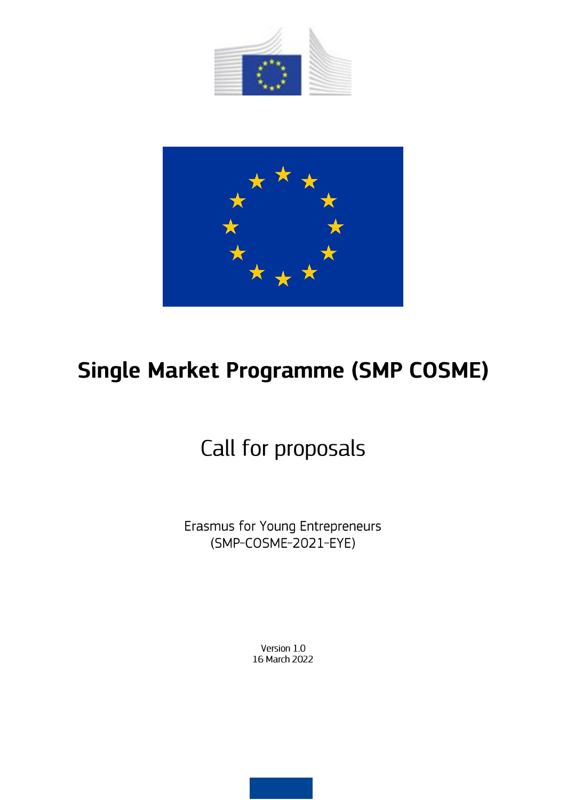



# Single Market Programme (SMP COSME)

# Call for proposals

Erasmus for Young Entrepreneurs (SMP-COSME-2021-EYE)

> Version 1.0 16 March 2022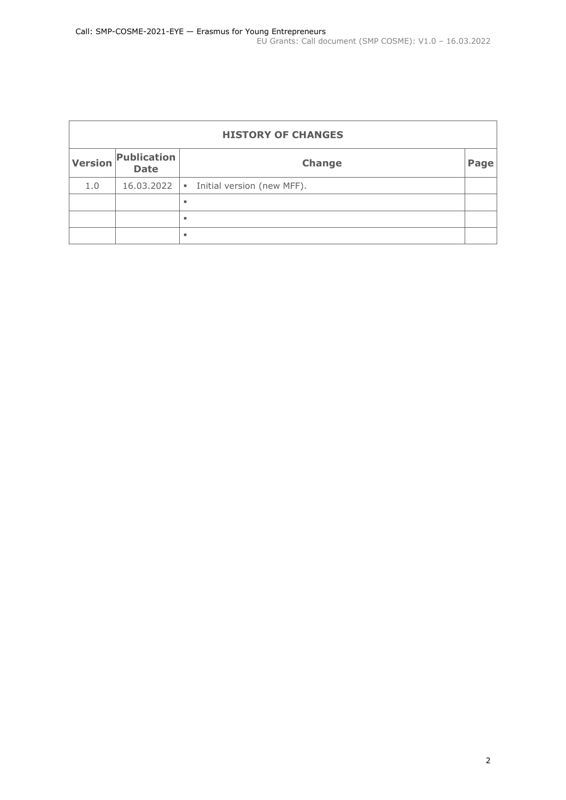| <b>HISTORY OF CHANGES</b> |                                                    |                            |  |
|---------------------------|----------------------------------------------------|----------------------------|--|
| <b>Version</b>            | <b>Publication</b><br><b>Change</b><br><b>Date</b> |                            |  |
| 1.0                       | 16.03.2022                                         | Initial version (new MFF). |  |
|                           |                                                    | ٠                          |  |
|                           |                                                    | ٠                          |  |
|                           |                                                    | ٠                          |  |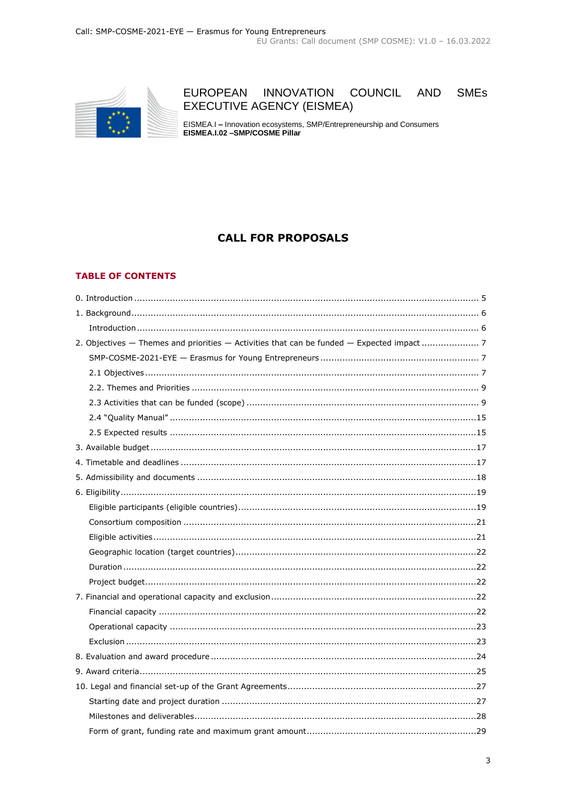

#### EUROPEAN INNOVATION COUNCIL **AND SMEs EXECUTIVE AGENCY (EISMEA)**

EISMEA.I - Innovation ecosystems, SMP/Entrepreneurship and Consumers<br>EISMEA.I.02 -SMP/COSME Pillar

# **CALL FOR PROPOSALS**

#### **TABLE OF CONTENTS**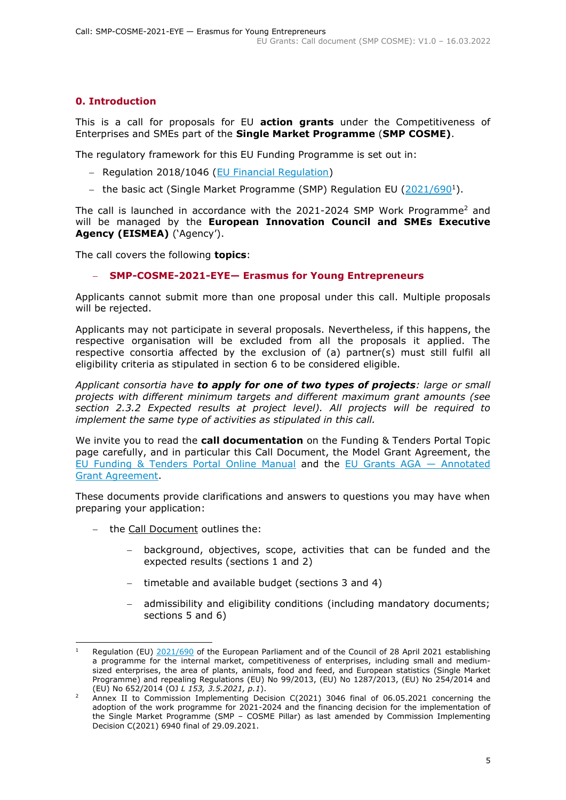# <span id="page-4-0"></span>**0. Introduction**

This is a call for proposals for EU **action grants** under the Competitiveness of Enterprises and SMEs part of the **Single Market Programme** (**SMP COSME)**.

The regulatory framework for this EU Funding Programme is set out in:

- − Regulation 2018/1046 [\(EU Financial Regulation\)](https://eur-lex.europa.eu/legal-content/EN/ALL/?uri=CELEX:32018R1046&qid=1535046024012)
- − the basic act (Single Market Programme (SMP) Regulation EU [\(2021/690](https://eur-lex.europa.eu/legal-content/EN/ALL/?uri=uriserv:OJ.L_.2021.153.01.0001.01.ENG)<sup>1</sup>).

The call is launched in accordance with the 2021-2024 SMP Work Programme<sup>2</sup> and will be managed by the **European Innovation Council and SMEs Executive Agency (EISMEA)** ('Agency').

The call covers the following **topics**:

#### − **SMP-COSME-2021-EYE— Erasmus for Young Entrepreneurs**

Applicants cannot submit more than one proposal under this call. Multiple proposals will be rejected.

Applicants may not participate in several proposals. Nevertheless, if this happens, the respective organisation will be excluded from all the proposals it applied. The respective consortia affected by the exclusion of (a) partner(s) must still fulfil all eligibility criteria as stipulated in section 6 to be considered eligible.

*Applicant consortia have to apply for one of two types of projects: large or small projects with different minimum targets and different maximum grant amounts (see section 2.3.2 Expected results at project level). All projects will be required to implement the same type of activities as stipulated in this call.* 

We invite you to read the **call documentation** on the Funding & Tenders Portal Topic page carefully, and in particular this Call Document, the Model Grant Agreement, the [EU Funding & Tenders Portal Online Manual](https://ec.europa.eu/info/funding-tenders/opportunities/docs/2021-2027/common/guidance/om_en.pdf) and the [EU Grants AGA](https://ec.europa.eu/info/funding-tenders/opportunities/docs/2021-2027/common/guidance/aga_en.pdf) — Annotated [Grant Agreement.](https://ec.europa.eu/info/funding-tenders/opportunities/docs/2021-2027/common/guidance/aga_en.pdf)

These documents provide clarifications and answers to questions you may have when preparing your application:

- − the Call Document outlines the:
	- background, objectives, scope, activities that can be funded and the expected results (sections 1 and 2)
	- timetable and available budget (sections 3 and 4)
	- admissibility and eligibility conditions (including mandatory documents; sections 5 and 6)

Regulation (EU) [2021/690](https://eur-lex.europa.eu/legal-content/EN/TXT/?uri=CELEX%3A32021R0690) of the European Parliament and of the Council of 28 April 2021 establishing a programme for the internal market, competitiveness of enterprises, including small and mediumsized enterprises, the area of plants, animals, food and feed, and European statistics (Single Market Programme) and repealing Regulations (EU) No 99/2013, (EU) No 1287/2013, (EU) No 254/2014 and (EU) No 652/2014 (OJ *L 153, 3.5.2021, p.1*).

<sup>2</sup> Annex II to Commission Implementing Decision C(2021) 3046 final of 06.05.2021 concerning the adoption of the work programme for 2021-2024 and the financing decision for the implementation of the Single Market Programme (SMP – COSME Pillar) as last amended by Commission Implementing Decision C(2021) 6940 final of 29.09.2021.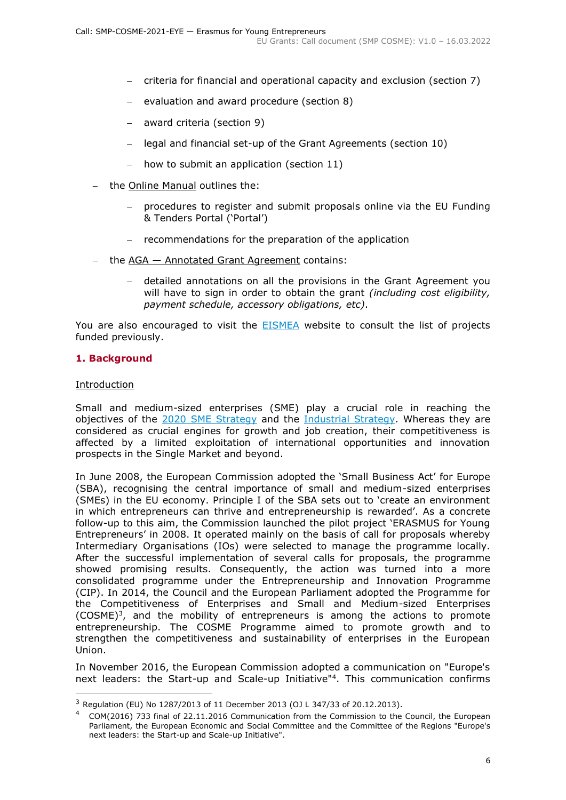- − criteria for financial and operational capacity and exclusion (section 7)
- evaluation and award procedure (section 8)
- − award criteria (section 9)
- − legal and financial set-up of the Grant Agreements (section 10)
- how to submit an application (section 11)
- − the Online Manual outlines the:
	- − procedures to register and submit proposals online via the EU Funding & Tenders Portal ('Portal')
	- − recommendations for the preparation of the application
- the AGA Annotated Grant Agreement contains:
	- − detailed annotations on all the provisions in the Grant Agreement you will have to sign in order to obtain the grant *(including cost eligibility, payment schedule, accessory obligations, etc)*.

You are also encouraged to visit the **[EISMEA](https://eismea.ec.europa.eu/programmes/single-market-programme/support-smes_en)** website to consult the list of projects funded previously.

#### <span id="page-5-0"></span>**1. Background**

#### <span id="page-5-1"></span>Introduction

Small and medium-sized enterprises (SME) play a crucial role in reaching the objectives of the [2020 SME Strategy](https://ec.europa.eu/info/sites/default/files/communication-sme-strategy-march-2020_en.pdf) and the [Industrial Strategy.](https://ec.europa.eu/info/sites/default/files/communication-new-industrial-strategy.pdf) Whereas they are considered as crucial engines for growth and job creation, their competitiveness is affected by a limited exploitation of international opportunities and innovation prospects in the Single Market and beyond.

In June 2008, the European Commission adopted the 'Small Business Act' for Europe (SBA), recognising the central importance of small and medium-sized enterprises (SMEs) in the EU economy. Principle I of the SBA sets out to 'create an environment in which entrepreneurs can thrive and entrepreneurship is rewarded'. As a concrete follow-up to this aim, the Commission launched the pilot project 'ERASMUS for Young Entrepreneurs' in 2008. It operated mainly on the basis of call for proposals whereby Intermediary Organisations (IOs) were selected to manage the programme locally. After the successful implementation of several calls for proposals, the programme showed promising results. Consequently, the action was turned into a more consolidated programme under the Entrepreneurship and Innovation Programme (CIP). In 2014, the Council and the European Parliament adopted the Programme for the Competitiveness of Enterprises and Small and Medium-sized Enterprises  $(COSME)^3$ , and the mobility of entrepreneurs is among the actions to promote entrepreneurship. The COSME Programme aimed to promote growth and to strengthen the competitiveness and sustainability of enterprises in the European Union.

In November 2016, the European Commission adopted a communication on "Europe's next leaders: the Start-up and Scale-up Initiative<sup>"4</sup>. This communication confirms

<sup>3</sup> Regulation (EU) No 1287/2013 of 11 December 2013 (OJ L 347/33 of 20.12.2013).

<sup>4</sup> COM(2016) 733 final of 22.11.2016 Communication from the Commission to the Council, the European Parliament, the European Economic and Social Committee and the Committee of the Regions "Europe's next leaders: the Start-up and Scale-up Initiative".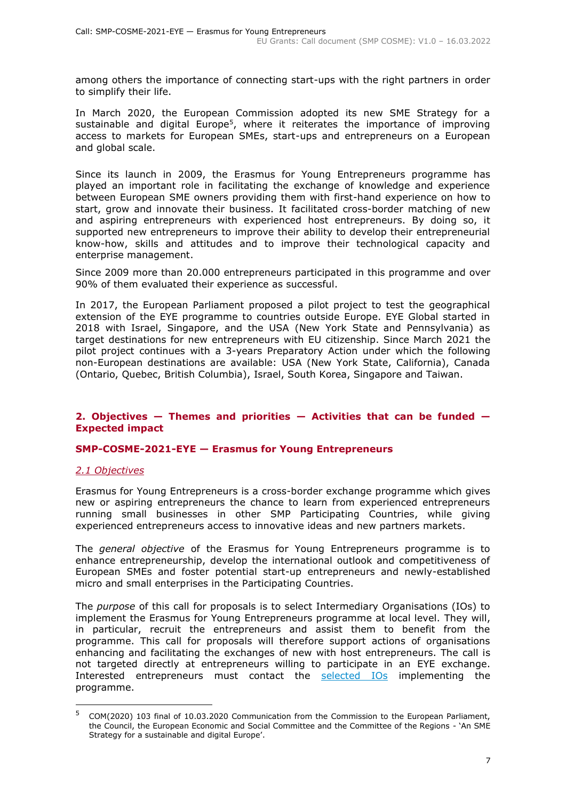among others the importance of connecting start-ups with the right partners in order to simplify their life.

In March 2020, the European Commission adopted its new SME Strategy for a sustainable and digital Europe<sup>5</sup>, where it reiterates the importance of improving access to markets for European SMEs, start-ups and entrepreneurs on a European and global scale.

Since its launch in 2009, the [Erasmus for Young Entrepreneurs](https://www.erasmus-entrepreneurs.eu/) programme has played an important role in facilitating the exchange of knowledge and experience between European SME owners providing them with first-hand experience on how to start, grow and innovate their business. It facilitated cross-border matching of new and aspiring entrepreneurs with experienced host entrepreneurs. By doing so, it supported new entrepreneurs to improve their ability to develop their entrepreneurial know-how, skills and attitudes and to improve their technological capacity and enterprise management.

Since 2009 more than 20.000 entrepreneurs participated in this programme and over 90% of them evaluated their experience as successful.

In 2017, the European Parliament proposed a pilot project to test the geographical extension of the EYE programme to countries outside Europe. EYE Global started in 2018 with Israel, Singapore, and the USA (New York State and Pennsylvania) as target destinations for new entrepreneurs with EU citizenship. Since March 2021 the pilot project continues with a 3-years Preparatory Action under which the following non-European destinations are available: USA (New York State, California), Canada (Ontario, Quebec, British Columbia), Israel, South Korea, Singapore and Taiwan.

#### <span id="page-6-0"></span>**2. Objectives — Themes and priorities — Activities that can be funded — Expected impact**

#### <span id="page-6-1"></span>**SMP-COSME-2021-EYE — Erasmus for Young Entrepreneurs**

#### <span id="page-6-2"></span>*2.1 Objectives*

Erasmus for Young Entrepreneurs is a cross-border exchange programme which gives new or aspiring entrepreneurs the chance to learn from experienced entrepreneurs running small businesses in other SMP Participating Countries, while giving experienced entrepreneurs access to innovative ideas and new partners markets.

The *general objective* of the Erasmus for Young Entrepreneurs programme is to enhance entrepreneurship, develop the international outlook and competitiveness of European SMEs and foster potential start-up entrepreneurs and newly-established micro and small enterprises in the Participating Countries.

The *purpose* of this call for proposals is to select Intermediary Organisations (IOs) to implement the Erasmus for Young Entrepreneurs programme at local level. They will, in particular, recruit the entrepreneurs and assist them to benefit from the programme. This call for proposals will therefore support actions of organisations enhancing and facilitating the exchanges of new with host entrepreneurs. The call is not targeted directly at entrepreneurs willing to participate in an EYE exchange. Interested entrepreneurs must contact the [selected IOs](https://www.erasmus-entrepreneurs.eu/page.php?cid=5) implementing the programme.

<sup>5</sup> COM(2020) 103 final of 10.03.2020 Communication from the Commission to the European Parliament, the Council, the European Economic and Social Committee and the Committee of the Regions - 'An SME Strategy for a sustainable and digital Europe'.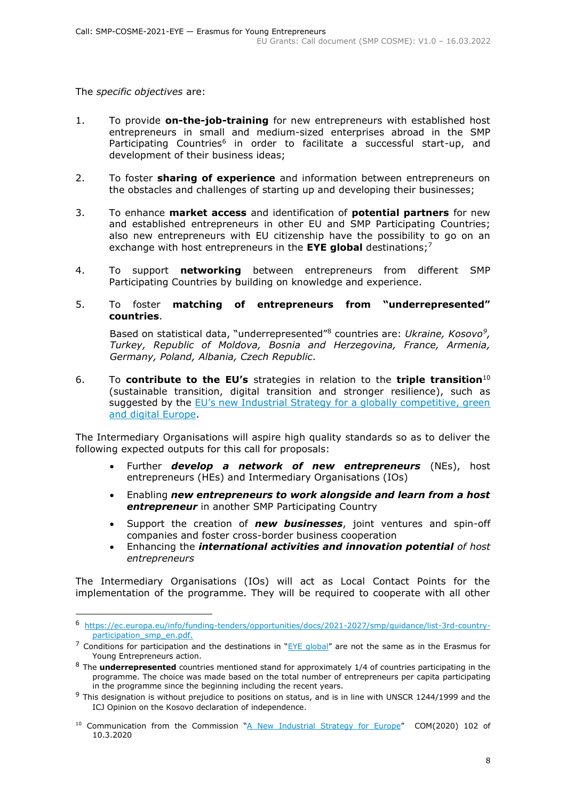The *specific objectives* are:

- 1. To provide **on-the-job-training** for new entrepreneurs with established host entrepreneurs in small and medium-sized enterprises abroad in the SMP Participating Countries<sup>6</sup> in order to facilitate a successful start-up, and development of their business ideas;
- 2. To foster **sharing of experience** and information between entrepreneurs on the obstacles and challenges of starting up and developing their businesses;
- 3. To enhance **market access** and identification of **potential partners** for new and established entrepreneurs in other EU and SMP Participating Countries; also new entrepreneurs with EU citizenship have the possibility to go on an exchange with host entrepreneurs in the **EYE global** destinations; 7
- 4. To support **networking** between entrepreneurs from different SMP Participating Countries by building on knowledge and experience.
- 5. To foster **matching of entrepreneurs from "underrepresented" countries**.

Based on statistical data, "underrepresented"<sup>8</sup> countries are: *Ukraine, Kosovo<sup>9</sup> , Turkey, Republic of Moldova, Bosnia and Herzegovina, France, Armenia, Germany, Poland, Albania, Czech Republic*.

6. To **contribute to the EU's** strategies in relation to the **triple transition**<sup>10</sup> (sustainable transition, digital transition and stronger resilience), such as suggested by the [EU's new Industrial Strategy for a globally competitive, green](https://ec.europa.eu/commission/presscorner/detail/en/fs_20_425)  [and digital Europe.](https://ec.europa.eu/commission/presscorner/detail/en/fs_20_425)

The Intermediary Organisations will aspire high quality standards so as to deliver the following expected outputs for this call for proposals:

- Further *develop a network of new entrepreneurs* (NEs), host entrepreneurs (HEs) and Intermediary Organisations (IOs)
- Enabling *new entrepreneurs to work alongside and learn from a host entrepreneur* in another SMP Participating Country
- Support the creation of *new businesses*, joint ventures and spin-off companies and foster cross-border business cooperation
- Enhancing the *international activities and innovation potential of host entrepreneurs*

The Intermediary Organisations (IOs) will act as Local Contact Points for the implementation of the programme. They will be required to cooperate with all other

<sup>6</sup> [https://ec.europa.eu/info/funding-tenders/opportunities/docs/2021-2027/smp/guidance/list-3rd-country](https://ec.europa.eu/info/funding-tenders/opportunities/docs/2021-2027/smp/guidance/list-3rd-country-participation_smp_en.pdf)[participation\\_smp\\_en.pdf.](https://ec.europa.eu/info/funding-tenders/opportunities/docs/2021-2027/smp/guidance/list-3rd-country-participation_smp_en.pdf)

 $^7$  Conditions for participation and the destinations in " $EYE$  global" are not the same as in the Erasmus for Young Entrepreneurs action.

<sup>8</sup> The **underrepresented** countries mentioned stand for approximately 1/4 of countries participating in the programme. The choice was made based on the total number of entrepreneurs per capita participating in the programme since the beginning including the recent years.

 $9$  This designation is without prejudice to positions on status, and is in line with UNSCR 1244/1999 and the ICJ Opinion on the Kosovo declaration of independence.

<sup>&</sup>lt;sup>10</sup> Communication from the Commission "[A New Industrial Strategy for Europe](https://eur-lex.europa.eu/legal-content/EN/TXT/HTML/?uri=CELEX:52020DC0102&from=EN)" COM(2020) 102 of 10.3.2020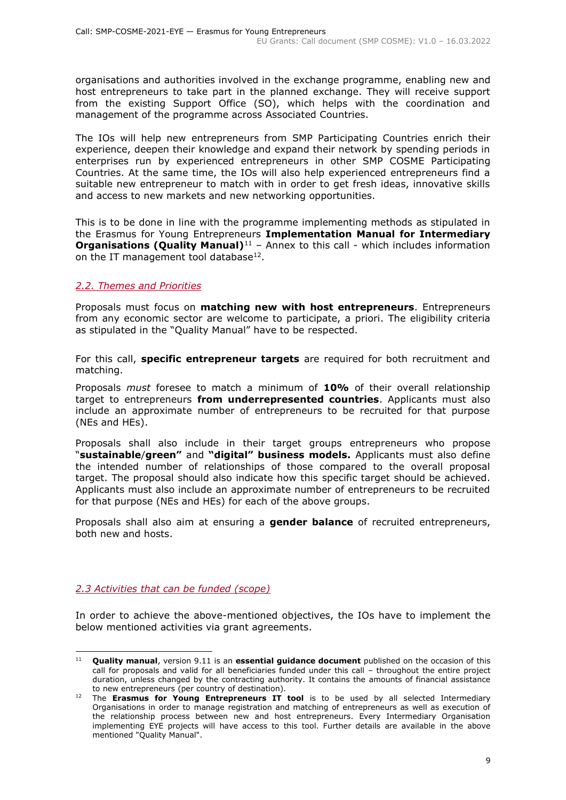organisations and authorities involved in the exchange programme, enabling new and host entrepreneurs to take part in the planned exchange. They will receive support from the existing Support Office (SO), which helps with the coordination and management of the programme across Associated Countries.

The IOs will help new entrepreneurs from SMP Participating Countries enrich their experience, deepen their knowledge and expand their network by spending periods in enterprises run by experienced entrepreneurs in other SMP COSME Participating Countries. At the same time, the IOs will also help experienced entrepreneurs find a suitable new entrepreneur to match with in order to get fresh ideas, innovative skills and access to new markets and new networking opportunities.

This is to be done in line with the programme implementing methods as stipulated in the Erasmus for Young Entrepreneurs **Implementation Manual for Intermediary Organisations (Quality Manual)**<sup>11</sup> - Annex to this call - which includes information on the IT management tool database $^{12}$ .

### <span id="page-8-0"></span>*2.2. Themes and Priorities*

Proposals must focus on **matching new with host entrepreneurs**. Entrepreneurs from any economic sector are welcome to participate, a priori. The eligibility criteria as stipulated in the "Quality Manual" have to be respected.

For this call, **specific entrepreneur targets** are required for both recruitment and matching.

Proposals *must* foresee to match a minimum of **10%** of their overall relationship target to entrepreneurs **from underrepresented countries**. Applicants must also include an approximate number of entrepreneurs to be recruited for that purpose (NEs and HEs).

Proposals shall also include in their target groups entrepreneurs who propose "**sustainable**/**green"** and **"digital" business models.** Applicants must also define the intended number of relationships of those compared to the overall proposal target. The proposal should also indicate how this specific target should be achieved. Applicants must also include an approximate number of entrepreneurs to be recruited for that purpose (NEs and HEs) for each of the above groups.

Proposals shall also aim at ensuring a **gender balance** of recruited entrepreneurs, both new and hosts.

#### <span id="page-8-1"></span>*2.3 Activities that can be funded (scope)*

In order to achieve the above-mentioned objectives, the IOs have to implement the below mentioned activities via grant agreements.

<sup>11</sup> **Quality manual**, version 9.11 is an **essential guidance document** published on the occasion of this call for proposals and valid for all beneficiaries funded under this call – throughout the entire project duration, unless changed by the contracting authority. It contains the amounts of financial assistance to new entrepreneurs (per country of destination).

<sup>&</sup>lt;sup>12</sup> The **Erasmus for Young Entrepreneurs IT tool** is to be used by all selected Intermediary Organisations in order to manage registration and matching of entrepreneurs as well as execution of the relationship process between new and host entrepreneurs. Every Intermediary Organisation implementing EYE projects will have access to this tool. Further details are available in the above mentioned "Quality Manual".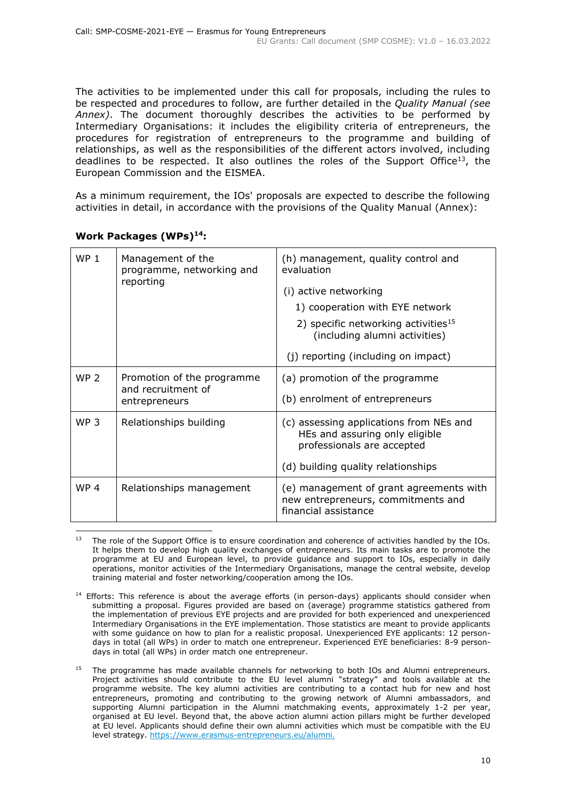The activities to be implemented under this call for proposals, including the rules to be respected and procedures to follow, are further detailed in the *Quality Manual (see Annex)*. The document thoroughly describes the activities to be performed by Intermediary Organisations: it includes the eligibility criteria of entrepreneurs, the procedures for registration of entrepreneurs to the programme and building of relationships, as well as the responsibilities of the different actors involved, including deadlines to be respected. It also outlines the roles of the Support Office<sup>13</sup>, the European Commission and the EISMEA.

As a minimum requirement, the IOs' proposals are expected to describe the following activities in detail, in accordance with the provisions of the Quality Manual (Annex):

| WP <sub>1</sub> | Management of the<br>programme, networking and<br>reporting       | (h) management, quality control and<br>evaluation<br>(i) active networking<br>1) cooperation with EYE network<br>2) specific networking activities <sup>15</sup><br>(including alumni activities)<br>(j) reporting (including on impact) |
|-----------------|-------------------------------------------------------------------|------------------------------------------------------------------------------------------------------------------------------------------------------------------------------------------------------------------------------------------|
| <b>WP 2</b>     | Promotion of the programme<br>and recruitment of<br>entrepreneurs | (a) promotion of the programme<br>(b) enrolment of entrepreneurs                                                                                                                                                                         |
| WP <sub>3</sub> | Relationships building                                            | (c) assessing applications from NEs and<br>HEs and assuring only eligible<br>professionals are accepted<br>(d) building quality relationships                                                                                            |
| WP <sub>4</sub> | Relationships management                                          | (e) management of grant agreements with<br>new entrepreneurs, commitments and<br>financial assistance                                                                                                                                    |

#### **Work Packages (WPs)<sup>14</sup>:**

The role of the Support Office is to ensure coordination and coherence of activities handled by the IOs. It helps them to develop high quality exchanges of entrepreneurs. Its main tasks are to promote the programme at EU and European level, to provide guidance and support to IOs, especially in daily operations, monitor activities of the Intermediary Organisations, manage the central website, develop training material and foster networking/cooperation among the IOs.

<sup>&</sup>lt;sup>14</sup> Efforts: This reference is about the average efforts (in person-days) applicants should consider when submitting a proposal. Figures provided are based on (average) programme statistics gathered from the implementation of previous EYE projects and are provided for both experienced and unexperienced Intermediary Organisations in the EYE implementation. Those statistics are meant to provide applicants with some guidance on how to plan for a realistic proposal. Unexperienced EYE applicants: 12 persondays in total (all WPs) in order to match one entrepreneur. Experienced EYE beneficiaries: 8-9 persondays in total (all WPs) in order match one entrepreneur.

<sup>&</sup>lt;sup>15</sup> The programme has made available channels for networking to both IOs and Alumni entrepreneurs. Project activities should contribute to the EU level alumni "strategy" and tools available at the programme website. The key alumni activities are contributing to a contact hub for new and host entrepreneurs, promoting and contributing to the growing network of Alumni ambassadors, and supporting Alumni participation in the Alumni matchmaking events, approximately 1-2 per year, organised at EU level. Beyond that, the above action alumni action pillars might be further developed at EU level. Applicants should define their own alumni activities which must be compatible with the EU level strategy.<https://www.erasmus-entrepreneurs.eu/alumni.>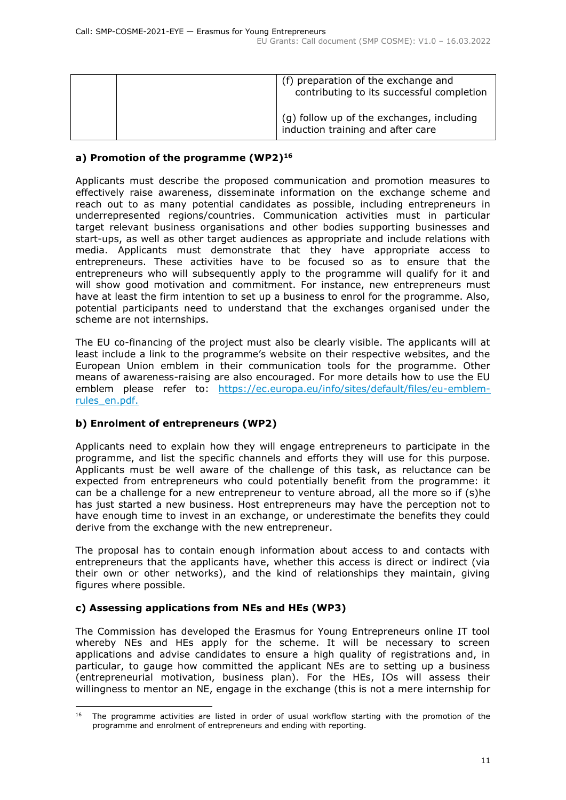| (f) preparation of the exchange and<br>contributing to its successful completion |
|----------------------------------------------------------------------------------|
| (g) follow up of the exchanges, including<br>induction training and after care   |

### **a) Promotion of the programme (WP2)<sup>16</sup>**

Applicants must describe the proposed communication and promotion measures to effectively raise awareness, disseminate information on the exchange scheme and reach out to as many potential candidates as possible, including entrepreneurs in underrepresented regions/countries. Communication activities must in particular target relevant business organisations and other bodies supporting businesses and start-ups, as well as other target audiences as appropriate and include relations with media. Applicants must demonstrate that they have appropriate access to entrepreneurs. These activities have to be focused so as to ensure that the entrepreneurs who will subsequently apply to the programme will qualify for it and will show good motivation and commitment. For instance, new entrepreneurs must have at least the firm intention to set up a business to enrol for the programme. Also, potential participants need to understand that the exchanges organised under the scheme are not internships.

The EU co-financing of the project must also be clearly visible. The applicants will at least include a link to the programme's website on their respective websites, and the European Union emblem in their communication tools for the programme. Other means of awareness-raising are also encouraged. For more details how to use the EU emblem please refer to: [https://ec.europa.eu/info/sites/default/files/eu-emblem](https://ec.europa.eu/info/sites/default/files/eu-emblem-rules_en.pdf)[rules\\_en.pdf.](https://ec.europa.eu/info/sites/default/files/eu-emblem-rules_en.pdf)

#### **b) Enrolment of entrepreneurs (WP2)**

Applicants need to explain how they will engage entrepreneurs to participate in the programme, and list the specific channels and efforts they will use for this purpose. Applicants must be well aware of the challenge of this task, as reluctance can be expected from entrepreneurs who could potentially benefit from the programme: it can be a challenge for a new entrepreneur to venture abroad, all the more so if (s)he has just started a new business. Host entrepreneurs may have the perception not to have enough time to invest in an exchange, or underestimate the benefits they could derive from the exchange with the new entrepreneur.

The proposal has to contain enough information about access to and contacts with entrepreneurs that the applicants have, whether this access is direct or indirect (via their own or other networks), and the kind of relationships they maintain, giving figures where possible.

#### **c) Assessing applications from NEs and HEs (WP3)**

The Commission has developed the Erasmus for Young Entrepreneurs online IT tool whereby NEs and HEs apply for the scheme. It will be necessary to screen applications and advise candidates to ensure a high quality of registrations and, in particular, to gauge how committed the applicant NEs are to setting up a business (entrepreneurial motivation, business plan). For the HEs, IOs will assess their willingness to mentor an NE, engage in the exchange (this is not a mere internship for

 $16$  The programme activities are listed in order of usual workflow starting with the promotion of the programme and enrolment of entrepreneurs and ending with reporting.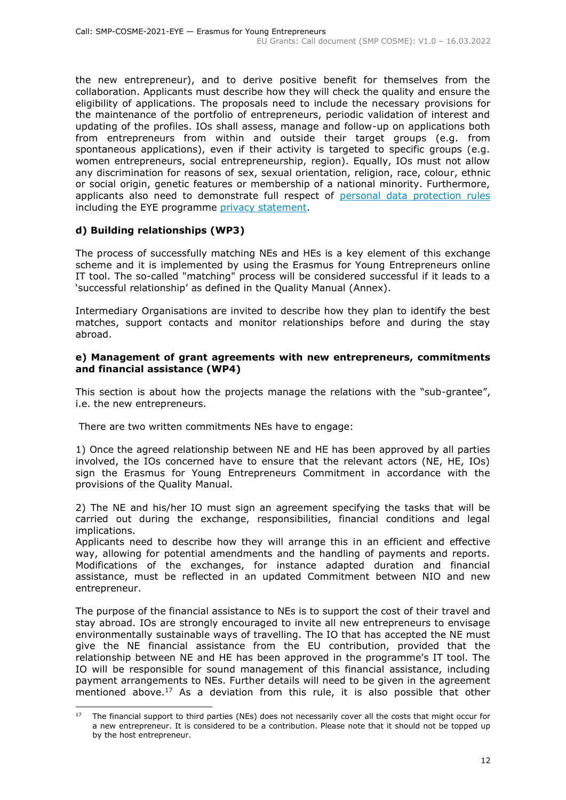the new entrepreneur), and to derive positive benefit for themselves from the collaboration. Applicants must describe how they will check the quality and ensure the eligibility of applications. The proposals need to include the necessary provisions for the maintenance of the portfolio of entrepreneurs, periodic validation of interest and updating of the profiles. IOs shall assess, manage and follow-up on applications both from entrepreneurs from within and outside their target groups (e.g. from spontaneous applications), even if their activity is targeted to specific groups (e.g. women entrepreneurs, social entrepreneurship, region). Equally, IOs must not allow any discrimination for reasons of sex, sexual orientation, religion, race, colour, ethnic or social origin, genetic features or membership of a national minority. Furthermore, applicants also need to demonstrate full respect of [personal data protection rules](https://eur-lex.europa.eu/eli/reg/2016/679/oj) including the EYE programme [privacy statement.](https://www.erasmus-entrepreneurs.eu/upload/privacy-statement.pdf)

# **d) Building relationships (WP3)**

The process of successfully matching NEs and HEs is a key element of this exchange scheme and it is implemented by using the Erasmus for Young Entrepreneurs online IT tool. The so-called "matching" process will be considered successful if it leads to a 'successful relationship' as defined in the Quality Manual (Annex).

Intermediary Organisations are invited to describe how they plan to identify the best matches, support contacts and monitor relationships before and during the stay abroad.

#### **e) Management of grant agreements with new entrepreneurs, commitments and financial assistance (WP4)**

This section is about how the projects manage the relations with the "sub-grantee", i.e. the new entrepreneurs.

There are two written commitments NEs have to engage:

1) Once the agreed relationship between NE and HE has been approved by all parties involved, the IOs concerned have to ensure that the relevant actors (NE, HE, IOs) sign the Erasmus for Young Entrepreneurs Commitment in accordance with the provisions of the Quality Manual.

2) The NE and his/her IO must sign an agreement specifying the tasks that will be carried out during the exchange, responsibilities, financial conditions and legal implications.

Applicants need to describe how they will arrange this in an efficient and effective way, allowing for potential amendments and the handling of payments and reports. Modifications of the exchanges, for instance adapted duration and financial assistance, must be reflected in an updated Commitment between NIO and new entrepreneur.

The purpose of the financial assistance to NEs is to support the cost of their travel and stay abroad. IOs are strongly encouraged to invite all new entrepreneurs to envisage environmentally sustainable ways of travelling. The IO that has accepted the NE must give the NE financial assistance from the EU contribution, provided that the relationship between NE and HE has been approved in the programme's IT tool. The IO will be responsible for sound management of this financial assistance, including payment arrangements to NEs. Further details will need to be given in the agreement mentioned above.<sup>17</sup> As a deviation from this rule, it is also possible that other

<sup>17</sup> The financial support to third parties (NEs) does not necessarily cover all the costs that might occur for a new entrepreneur. It is considered to be a contribution. Please note that it should not be topped up by the host entrepreneur.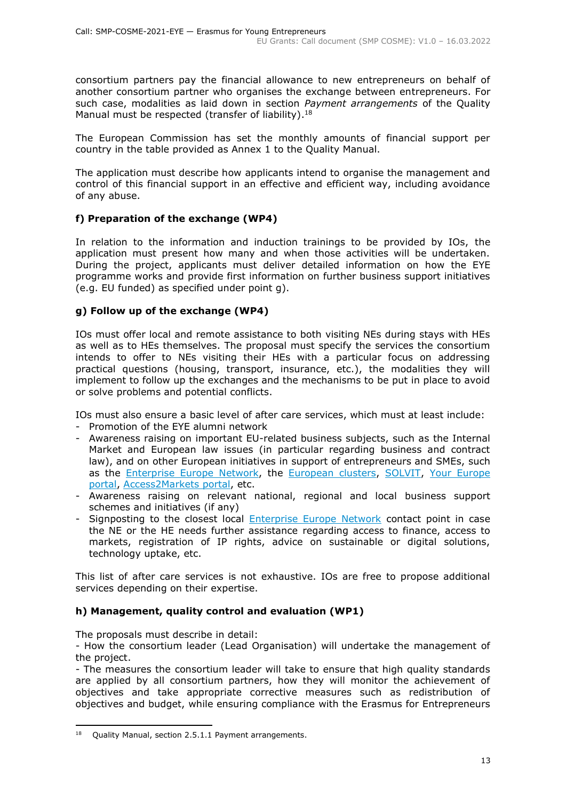consortium partners pay the financial allowance to new entrepreneurs on behalf of another consortium partner who organises the exchange between entrepreneurs. For such case, modalities as laid down in section *Payment arrangements* of the Quality Manual must be respected (transfer of liability).<sup>18</sup>

The European Commission has set the monthly amounts of financial support per country in the table provided as Annex 1 to the Quality Manual.

The application must describe how applicants intend to organise the management and control of this financial support in an effective and efficient way, including avoidance of any abuse.

### **f) Preparation of the exchange (WP4)**

In relation to the information and induction trainings to be provided by IOs, the application must present how many and when those activities will be undertaken. During the project, applicants must deliver detailed information on how the EYE programme works and provide first information on further business support initiatives (e.g. EU funded) as specified under point g).

#### **g) Follow up of the exchange (WP4)**

IOs must offer local and remote assistance to both visiting NEs during stays with HEs as well as to HEs themselves. The proposal must specify the services the consortium intends to offer to NEs visiting their HEs with a particular focus on addressing practical questions (housing, transport, insurance, etc.), the modalities they will implement to follow up the exchanges and the mechanisms to be put in place to avoid or solve problems and potential conflicts.

IOs must also ensure a basic level of after care services, which must at least include:

- Promotion of the EYE alumni network
- Awareness raising on important EU-related business subjects, such as the Internal Market and European law issues (in particular regarding business and contract law), and on other European initiatives in support of entrepreneurs and SMEs, such as the [Enterprise Europe Network,](https://een.ec.europa.eu/) the [European clusters,](https://clustercollaboration.eu/) [SOLVIT,](https://ec.europa.eu/solvit/index_en.htm) Your Europe [portal,](https://europa.eu/youreurope/) [Access2Markets portal,](https://trade.ec.europa.eu/access-to-markets/en/home) etc.
- Awareness raising on relevant national, regional and local business support schemes and initiatives (if any)
- Signposting to the closest local [Enterprise Europe Network](https://een.ec.europa.eu/) contact point in case the NE or the HE needs further assistance regarding access to finance, access to markets, registration of IP rights, advice on sustainable or digital solutions, technology uptake, etc.

This list of after care services is not exhaustive. IOs are free to propose additional services depending on their expertise.

# **h) Management, quality control and evaluation (WP1)**

The proposals must describe in detail:

- How the consortium leader (Lead Organisation) will undertake the management of the project.

- The measures the consortium leader will take to ensure that high quality standards are applied by all consortium partners, how they will monitor the achievement of objectives and take appropriate corrective measures such as redistribution of objectives and budget, while ensuring compliance with the Erasmus for Entrepreneurs

<sup>&</sup>lt;sup>18</sup> Quality Manual, section 2.5.1.1 Payment arrangements.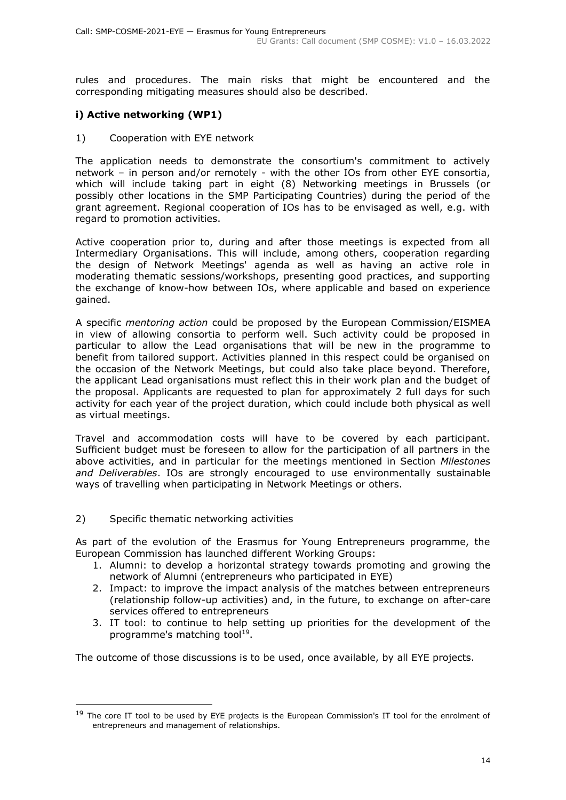rules and procedures. The main risks that might be encountered and the corresponding mitigating measures should also be described.

### **i) Active networking (WP1)**

1) Cooperation with EYE network

The application needs to demonstrate the consortium's commitment to actively network – in person and/or remotely - with the other IOs from other EYE consortia, which will include taking part in eight (8) Networking meetings in Brussels (or possibly other locations in the SMP Participating Countries) during the period of the grant agreement. Regional cooperation of IOs has to be envisaged as well, e.g. with regard to promotion activities.

Active cooperation prior to, during and after those meetings is expected from all Intermediary Organisations. This will include, among others, cooperation regarding the design of Network Meetings' agenda as well as having an active role in moderating thematic sessions/workshops, presenting good practices, and supporting the exchange of know-how between IOs, where applicable and based on experience gained.

A specific *mentoring action* could be proposed by the European Commission/EISMEA in view of allowing consortia to perform well. Such activity could be proposed in particular to allow the Lead organisations that will be new in the programme to benefit from tailored support. Activities planned in this respect could be organised on the occasion of the Network Meetings, but could also take place beyond. Therefore, the applicant Lead organisations must reflect this in their work plan and the budget of the proposal. Applicants are requested to plan for approximately 2 full days for such activity for each year of the project duration, which could include both physical as well as virtual meetings.

Travel and accommodation costs will have to be covered by each participant. Sufficient budget must be foreseen to allow for the participation of all partners in the above activities, and in particular for the meetings mentioned in Section *Milestones and Deliverables*. IOs are strongly encouraged to use environmentally sustainable ways of travelling when participating in Network Meetings or others.

2) Specific thematic networking activities

As part of the evolution of the Erasmus for Young Entrepreneurs programme, the European Commission has launched different Working Groups:

- 1. Alumni: to develop a horizontal strategy towards promoting and growing the network of Alumni (entrepreneurs who participated in EYE)
- 2. Impact: to improve the impact analysis of the matches between entrepreneurs (relationship follow-up activities) and, in the future, to exchange on after-care services offered to entrepreneurs
- 3. IT tool: to continue to help setting up priorities for the development of the programme's matching tool<sup>19</sup>.

The outcome of those discussions is to be used, once available, by all EYE projects.

<sup>&</sup>lt;sup>19</sup> The core IT tool to be used by EYE projects is the European Commission's IT tool for the enrolment of entrepreneurs and management of relationships.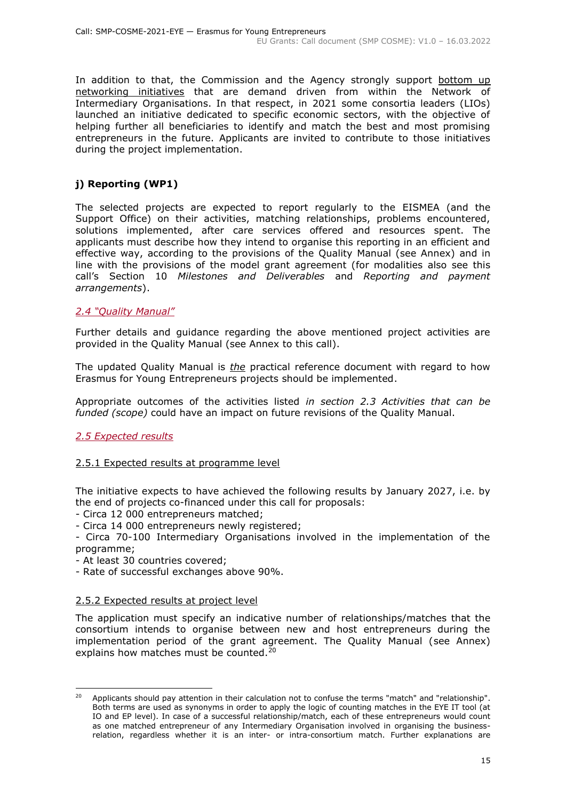In addition to that, the Commission and the Agency strongly support bottom up networking initiatives that are demand driven from within the Network of Intermediary Organisations. In that respect, in 2021 some consortia leaders (LIOs) launched an initiative dedicated to specific economic sectors, with the objective of helping further all beneficiaries to identify and match the best and most promising entrepreneurs in the future. Applicants are invited to contribute to those initiatives during the project implementation.

# **j) Reporting (WP1)**

The selected projects are expected to report regularly to the EISMEA (and the Support Office) on their activities, matching relationships, problems encountered, solutions implemented, after care services offered and resources spent. The applicants must describe how they intend to organise this reporting in an efficient and effective way, according to the provisions of the Quality Manual (see Annex) and in line with the provisions of the model grant agreement (for modalities also see this call's Section 10 *Milestones and Deliverables* and *Reporting and payment arrangements*).

### <span id="page-14-0"></span>*2.4 "Quality Manual"*

Further details and guidance regarding the above mentioned project activities are provided in the Quality Manual (see Annex to this call).

The updated Quality Manual is *the* practical reference document with regard to how Erasmus for Young Entrepreneurs projects should be implemented.

Appropriate outcomes of the activities listed *in section 2.3 Activities that can be funded (scope)* could have an impact on future revisions of the Quality Manual.

#### <span id="page-14-1"></span>*2.5 Expected results*

#### 2.5.1 Expected results at programme level

The initiative expects to have achieved the following results by January 2027, i.e. by the end of projects co-financed under this call for proposals:

- Circa 12 000 entrepreneurs matched;
- Circa 14 000 entrepreneurs newly registered;
- Circa 70-100 Intermediary Organisations involved in the implementation of the programme;
- At least 30 countries covered;
- Rate of successful exchanges above 90%.

#### 2.5.2 Expected results at project level

The application must specify an indicative number of relationships/matches that the consortium intends to organise between new and host entrepreneurs during the implementation period of the grant agreement. The Quality Manual (see Annex) explains how matches must be counted. $20$ 

<sup>&</sup>lt;sup>20</sup> Applicants should pay attention in their calculation not to confuse the terms "match" and "relationship". Both terms are used as synonyms in order to apply the logic of counting matches in the EYE IT tool (at IO and EP level). In case of a successful relationship/match, each of these entrepreneurs would count as one matched entrepreneur of any Intermediary Organisation involved in organising the businessrelation, regardless whether it is an inter- or intra-consortium match. Further explanations are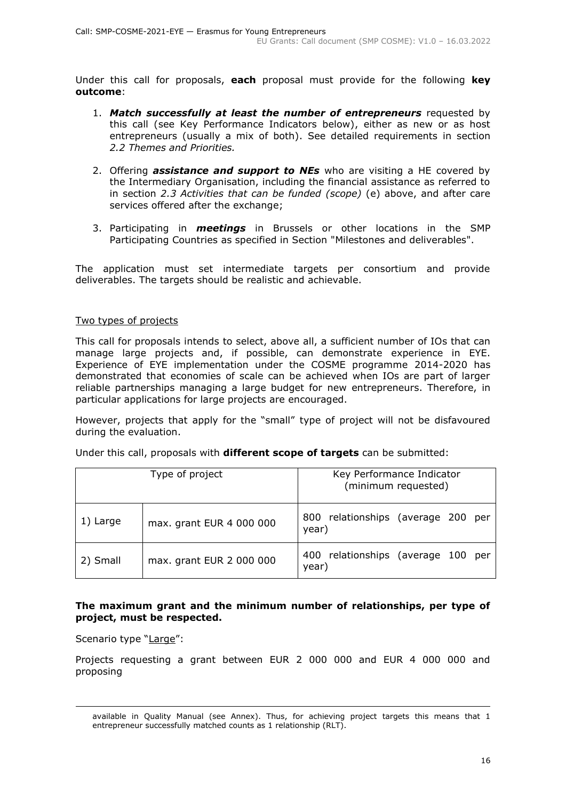Under this call for proposals, **each** proposal must provide for the following **key outcome**:

- 1. *Match successfully at least the number of entrepreneurs* requested by this call (see Key Performance Indicators below), either as new or as host entrepreneurs (usually a mix of both). See detailed requirements in section *2.2 Themes and Priorities.*
- 2. Offering *assistance and support to NEs* who are visiting a HE covered by the Intermediary Organisation, including the financial assistance as referred to in section *2.3 Activities that can be funded (scope)* (e) above, and after care services offered after the exchange;
- 3. Participating in *meetings* in Brussels or other locations in the SMP Participating Countries as specified in Section "Milestones and deliverables".

The application must set intermediate targets per consortium and provide deliverables. The targets should be realistic and achievable.

#### Two types of projects

This call for proposals intends to select, above all, a sufficient number of IOs that can manage large projects and, if possible, can demonstrate experience in EYE. Experience of EYE implementation under the COSME programme 2014-2020 has demonstrated that economies of scale can be achieved when IOs are part of larger reliable partnerships managing a large budget for new entrepreneurs. Therefore, in particular applications for large projects are encouraged.

However, projects that apply for the "small" type of project will not be disfavoured during the evaluation.

| Type of project |                          | Key Performance Indicator<br>(minimum requested) |  |
|-----------------|--------------------------|--------------------------------------------------|--|
| 1) Large        | max. grant EUR 4 000 000 | 800 relationships (average 200 per<br>year)      |  |
| 2) Small        | max. grant EUR 2 000 000 | 400 relationships (average 100 per<br>year)      |  |

Under this call, proposals with **different scope of targets** can be submitted:

#### **The maximum grant and the minimum number of relationships, per type of project, must be respected.**

Scenario type "Large":

Projects requesting a grant between EUR 2 000 000 and EUR 4 000 000 and proposing

available in Quality Manual (see Annex). Thus, for achieving project targets this means that 1 entrepreneur successfully matched counts as 1 relationship (RLT).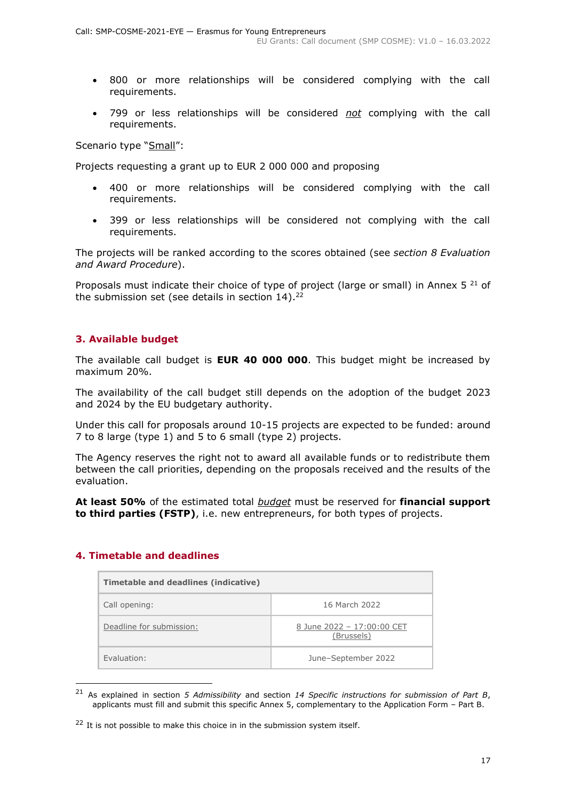- 800 or more relationships will be considered complying with the call requirements.
- 799 or less relationships will be considered *not* complying with the call requirements.

Scenario type "Small":

Projects requesting a grant up to EUR 2 000 000 and proposing

- 400 or more relationships will be considered complying with the call requirements.
- 399 or less relationships will be considered not complying with the call requirements.

The projects will be ranked according to the scores obtained (see *section 8 Evaluation and Award Procedure*).

Proposals must indicate their choice of type of project (large or small) in Annex 5 $^{21}$  of the submission set (see details in section 14).<sup>22</sup>

### <span id="page-16-0"></span>**3. Available budget**

The available call budget is **EUR 40 000 000**. This budget might be increased by maximum 20%.

The availability of the call budget still depends on the adoption of the budget 2023 and 2024 by the EU budgetary authority.

Under this call for proposals around 10-15 projects are expected to be funded: around 7 to 8 large (type 1) and 5 to 6 small (type 2) projects.

The Agency reserves the right not to award all available funds or to redistribute them between the call priorities, depending on the proposals received and the results of the evaluation.

**At least 50%** of the estimated total *budget* must be reserved for **financial support to third parties (FSTP)**, i.e. new entrepreneurs, for both types of projects.

#### <span id="page-16-1"></span>**4. Timetable and deadlines**

| Timetable and deadlines (indicative) |                                          |  |  |
|--------------------------------------|------------------------------------------|--|--|
| Call opening:                        | 16 March 2022                            |  |  |
| Deadline for submission:             | 8 June 2022 - 17:00:00 CET<br>(Brussels) |  |  |
| Fyaluation:                          | June-September 2022                      |  |  |

<sup>21</sup> As explained in section *5 Admissibility* and section *14 Specific instructions for submission of Part B*, applicants must fill and submit this specific Annex 5, complementary to the Application Form – Part B.

<sup>&</sup>lt;sup>22</sup> It is not possible to make this choice in in the submission system itself.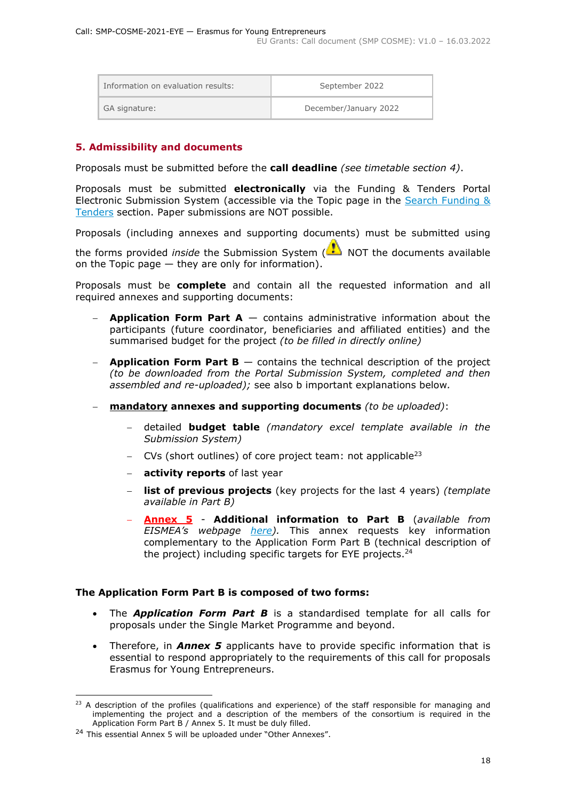| Information on evaluation results: |               | September 2022        |  |
|------------------------------------|---------------|-----------------------|--|
|                                    | GA signature: | December/January 2022 |  |

#### <span id="page-17-0"></span>**5. Admissibility and documents**

Proposals must be submitted before the **call deadline** *(see timetable section 4)*.

Proposals must be submitted **electronically** via the Funding & Tenders Portal Electronic Submission System (accessible via the Topic page in the Search Funding & [Tenders](https://ec.europa.eu/info/funding-tenders/opportunities/portal/screen/opportunities/topic-search;freeTextSearchKeyword=;typeCodes=0,1;statusCodes=31094501,31094502,31094503;programCode=null;programDivisionCode=null;focusAreaCode=null;crossCuttingPriorityCode=null;callCode=Default;sortQuery=openingDate;orderBy=asc;onlyTenders=false;topicListKey=topicSearchTablePageState) section. Paper submissions are NOT possible.

Proposals (including annexes and supporting documents) must be submitted using

the forms provided *inside* the Submission System (NOT the documents available on the Topic page  $-$  they are only for information).

Proposals must be **complete** and contain all the requested information and all required annexes and supporting documents:

- − **Application Form Part A** contains administrative information about the participants (future coordinator, beneficiaries and affiliated entities) and the summarised budget for the project *(to be filled in directly online)*
- **Application Form Part B** contains the technical description of the project *(to be downloaded from the Portal Submission System, completed and then assembled and re-uploaded);* see also b important explanations below*.*
- − **mandatory annexes and supporting documents** *(to be uploaded)*:
	- − detailed **budget table** *(mandatory excel template available in the Submission System)*
	- − CVs (short outlines) of core project team: not applicable<sup>23</sup>
	- − **activity reports** of last year
	- **list of previous projects** (key projects for the last 4 years) *(template available in Part B)*
	- − **[Annex 5](https://eismea.ec.europa.eu/funding-opportunities/calls-proposals/erasmus-young-entrepreneurs_en) Additional information to Part B** (*available from EISMEA's webpage [here\)](https://eismea.ec.europa.eu/funding-opportunities/calls-proposals/erasmus-young-entrepreneurs_en).* This annex requests key information complementary to the Application Form Part B (technical description of the project) including specific targets for EYE projects.<sup>24</sup>

#### **The Application Form Part B is composed of two forms:**

- The *Application Form Part B* is a standardised template for all calls for proposals under the Single Market Programme and beyond.
- Therefore, in *Annex 5* applicants have to provide specific information that is essential to respond appropriately to the requirements of this call for proposals Erasmus for Young Entrepreneurs.

<sup>&</sup>lt;sup>23</sup> A description of the profiles (qualifications and experience) of the staff responsible for managing and implementing the project and a description of the members of the consortium is required in the Application Form Part B / Annex 5. It must be duly filled.

<sup>&</sup>lt;sup>24</sup> This essential Annex 5 will be uploaded under "Other Annexes".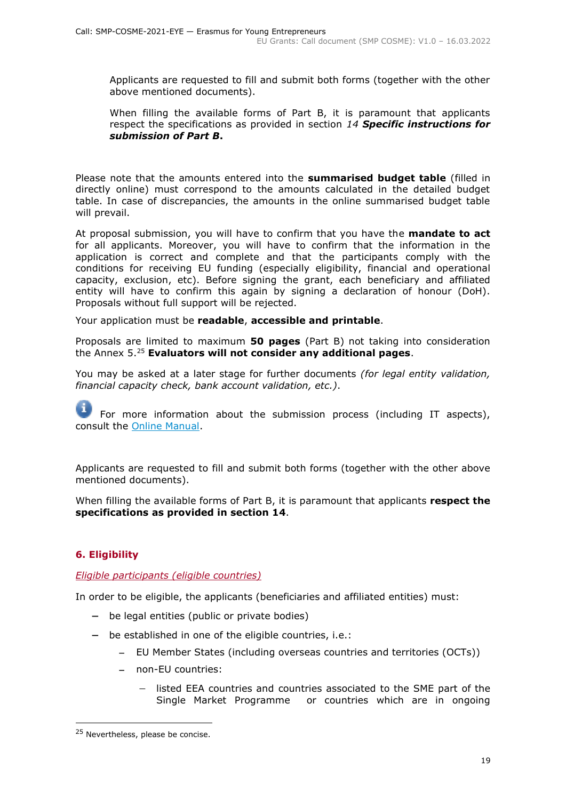Applicants are requested to fill and submit both forms (together with the other above mentioned documents).

When filling the available forms of Part B, it is paramount that applicants respect the specifications as provided in section *14 Specific instructions for submission of Part B***.** 

Please note that the amounts entered into the **summarised budget table** (filled in directly online) must correspond to the amounts calculated in the detailed budget table. In case of discrepancies, the amounts in the online summarised budget table will prevail.

At proposal submission, you will have to confirm that you have the **mandate to act** for all applicants. Moreover, you will have to confirm that the information in the application is correct and complete and that the participants comply with the conditions for receiving EU funding (especially eligibility, financial and operational capacity, exclusion, etc). Before signing the grant, each beneficiary and affiliated entity will have to confirm this again by signing a declaration of honour (DoH). Proposals without full support will be rejected.

Your application must be **readable**, **accessible and printable**.

Proposals are limited to maximum **50 pages** (Part B) not taking into consideration the Annex 5. <sup>25</sup> **Evaluators will not consider any additional pages**.

You may be asked at a later stage for further documents *(for legal entity validation, financial capacity check, bank account validation, etc.)*.

For more information about the submission process (including IT aspects), consult the [Online Manual.](https://ec.europa.eu/info/funding-tenders/opportunities/docs/2021-2027/common/guidance/om_en.pdf)

Applicants are requested to fill and submit both forms (together with the other above mentioned documents).

When filling the available forms of Part B, it is paramount that applicants **respect the specifications as provided in section 14**.

# <span id="page-18-0"></span>**6. Eligibility**

#### <span id="page-18-1"></span>*Eligible participants (eligible countries)*

In order to be eligible, the applicants (beneficiaries and affiliated entities) must:

- − be legal entities (public or private bodies)
- − be established in one of the eligible countries, i.e.:
	- − EU Member States (including overseas countries and territories (OCTs))
	- − non-EU countries:
		- listed EEA countries and countries associated to the SME part of the Single Market Programme or countries which are in ongoing

<sup>&</sup>lt;sup>25</sup> Nevertheless, please be concise.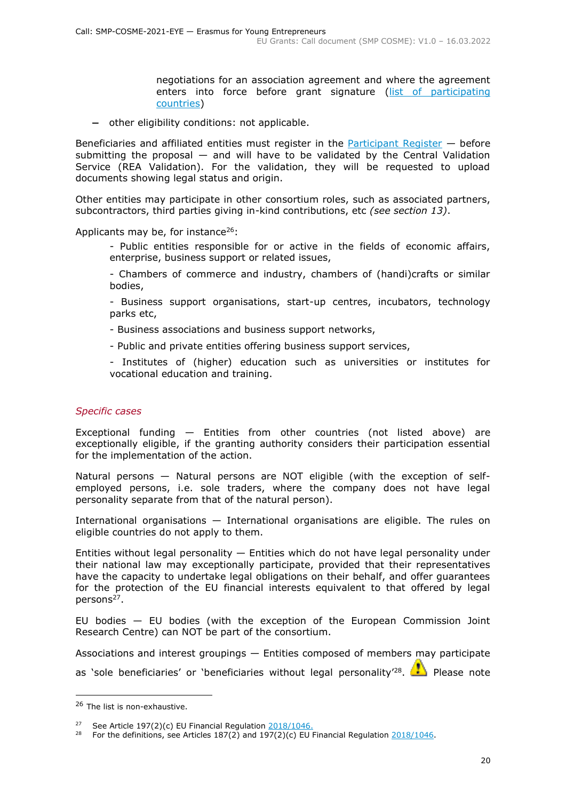negotiations for an association agreement and where the agreement enters into force before grant signature [\(list of participating](https://ec.europa.eu/info/funding-tenders/opportunities/docs/2021-2027/smp/guidance/list-3rd-country-participation_smp_en.pdf)  [countries\)](https://ec.europa.eu/info/funding-tenders/opportunities/docs/2021-2027/smp/guidance/list-3rd-country-participation_smp_en.pdf)

− other eligibility conditions: not applicable.

Beneficiaries and affiliated entities must register in the [Participant Register](https://ec.europa.eu/info/funding-tenders/opportunities/portal/screen/how-to-participate/participant-register)  $-$  before submitting the proposal  $-$  and will have to be validated by the Central Validation Service (REA Validation). For the validation, they will be requested to upload documents showing legal status and origin.

Other entities may participate in other consortium roles, such as associated partners, subcontractors, third parties giving in-kind contributions, etc *(see section 13)*.

Applicants may be, for instance<sup>26</sup>:

- Public entities responsible for or active in the fields of economic affairs, enterprise, business support or related issues,

- Chambers of commerce and industry, chambers of (handi)crafts or similar bodies,

- Business support organisations, start-up centres, incubators, technology parks etc,

- Business associations and business support networks,
- Public and private entities offering business support services,
- Institutes of (higher) education such as universities or institutes for vocational education and training.

#### *Specific cases*

Exceptional funding — Entities from other countries (not listed above) are exceptionally eligible, if the granting authority considers their participation essential for the implementation of the action.

Natural persons — Natural persons are NOT eligible (with the exception of selfemployed persons, i.e. sole traders, where the company does not have legal personality separate from that of the natural person).

International organisations — International organisations are eligible. The rules on eligible countries do not apply to them.

Entities without legal personality  $-$  Entities which do not have legal personality under their national law may exceptionally participate, provided that their representatives have the capacity to undertake legal obligations on their behalf, and offer guarantees for the protection of the EU financial interests equivalent to that offered by legal persons<sup>27</sup>.

EU bodies — EU bodies (with the exception of the European Commission Joint Research Centre) can NOT be part of the consortium.

Associations and interest groupings — Entities composed of members may participate as 'sole beneficiaries' or 'beneficiaries without legal personality'<sup>28</sup>. **The Please note** 

<sup>26</sup> The list is non-exhaustive.

<sup>27</sup> See Article 197(2)(c) EU Financial Regulation [2018/1046.](https://eur-lex.europa.eu/legal-content/EN/ALL/?uri=CELEX:32018R1046&qid=1535046024012)

<sup>&</sup>lt;sup>28</sup> For the definitions, see Articles 187(2) and 197(2)(c) EU Financial Regulation  $\frac{2018/1046}{1000}$ .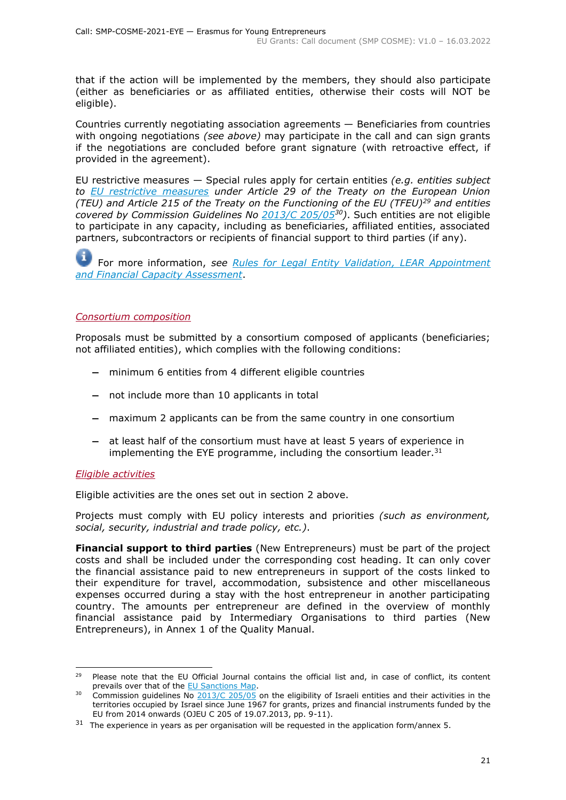that if the action will be implemented by the members, they should also participate (either as beneficiaries or as affiliated entities, otherwise their costs will NOT be eligible).

Countries currently negotiating association agreements — Beneficiaries from countries with ongoing negotiations *(see above)* may participate in the call and can sign grants if the negotiations are concluded before grant signature (with retroactive effect, if provided in the agreement).

EU restrictive measures — Special rules apply for certain entities *(e.g. entities subject to [EU restrictive measures](http://www.sanctionsmap.eu/) under Article 29 of the Treaty on the European Union (TEU) and Article 215 of the Treaty on the Functioning of the EU (TFEU)<sup>29</sup> and entities covered by Commission Guidelines No [2013/C 205/05](http://eur-lex.europa.eu/LexUriServ/LexUriServ.do?uri=OJ:C:2013:205:FULL:EN:PDF)<sup>30</sup>)*. Such entities are not eligible to participate in any capacity, including as beneficiaries, affiliated entities, associated partners, subcontractors or recipients of financial support to third parties (if any).

For more information, *see [Rules for Legal Entity Validation, LEAR Appointment](https://ec.europa.eu/info/funding-tenders/opportunities/docs/2021-2027/common/guidance/rules-lev-lear-fca_en.pdf)  [and Financial Capacity Assessment](https://ec.europa.eu/info/funding-tenders/opportunities/docs/2021-2027/common/guidance/rules-lev-lear-fca_en.pdf)*.

#### <span id="page-20-0"></span>*Consortium composition*

Proposals must be submitted by a consortium composed of applicants (beneficiaries; not affiliated entities), which complies with the following conditions:

- − minimum 6 entities from 4 different eligible countries
- − not include more than 10 applicants in total
- − maximum 2 applicants can be from the same country in one consortium
- − at least half of the consortium must have at least 5 years of experience in implementing the EYE programme, including the consortium leader. $31$

#### <span id="page-20-1"></span>*Eligible activities*

Eligible activities are the ones set out in section 2 above.

Projects must comply with EU policy interests and priorities *(such as environment, social, security, industrial and trade policy, etc.)*.

**Financial support to third parties** (New Entrepreneurs) must be part of the project costs and shall be included under the corresponding cost heading. It can only cover the financial assistance paid to new entrepreneurs in support of the costs linked to their expenditure for travel, accommodation, subsistence and other miscellaneous expenses occurred during a stay with the host entrepreneur in another participating country. The amounts per entrepreneur are defined in the overview of monthly financial assistance paid by Intermediary Organisations to third parties (New Entrepreneurs), in Annex 1 of the Quality Manual.

<sup>&</sup>lt;sup>29</sup> Please note that the EU Official Journal contains the official list and, in case of conflict, its content prevails over that of the [EU Sanctions Map.](http://www.sanctionsmap.eu/)

<sup>&</sup>lt;sup>30</sup> Commission guidelines No  $2013/C 205/05$  on the eligibility of Israeli entities and their activities in the territories occupied by Israel since June 1967 for grants, prizes and financial instruments funded by the EU from 2014 onwards (OJEU C 205 of 19.07.2013, pp. 9-11).

 $31$  The experience in years as per organisation will be requested in the application form/annex 5.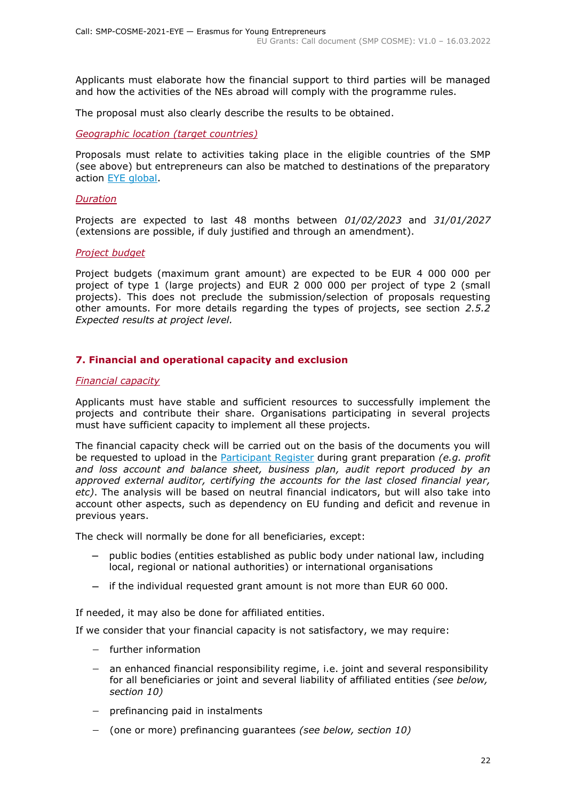Applicants must elaborate how the financial support to third parties will be managed and how the activities of the NEs abroad will comply with the programme rules.

The proposal must also clearly describe the results to be obtained.

<span id="page-21-0"></span>*Geographic location (target countries)*

Proposals must relate to activities taking place in the eligible countries of the SMP (see above) but entrepreneurs can also be matched to destinations of the preparatory action [EYE global.](https://eyeglobal.eu/)

#### <span id="page-21-1"></span>*Duration*

Projects are expected to last 48 months between *01/02/2023* and *31/01/2027* (extensions are possible, if duly justified and through an amendment).

#### <span id="page-21-2"></span>*Project budget*

Project budgets (maximum grant amount) are expected to be EUR 4 000 000 per project of type 1 (large projects) and EUR 2 000 000 per project of type 2 (small projects). This does not preclude the submission/selection of proposals requesting other amounts. For more details regarding the types of projects, see section *2.5.2 Expected results at project level.*

#### <span id="page-21-3"></span>**7. Financial and operational capacity and exclusion**

#### <span id="page-21-4"></span>*Financial capacity*

Applicants must have stable and sufficient resources to successfully implement the projects and contribute their share. Organisations participating in several projects must have sufficient capacity to implement all these projects.

The financial capacity check will be carried out on the basis of the documents you will be requested to upload in the [Participant Register](https://ec.europa.eu/info/funding-tenders/opportunities/portal/screen/how-to-participate/participant-register) during grant preparation *(e.g. profit and loss account and balance sheet, business plan, audit report produced by an approved external auditor, certifying the accounts for the last closed financial year, etc)*. The analysis will be based on neutral financial indicators, but will also take into account other aspects, such as dependency on EU funding and deficit and revenue in previous years.

The check will normally be done for all beneficiaries, except:

- − public bodies (entities established as public body under national law, including local, regional or national authorities) or international organisations
- − if the individual requested grant amount is not more than EUR 60 000.

If needed, it may also be done for affiliated entities.

If we consider that your financial capacity is not satisfactory, we may require:

- − further information
- − an enhanced financial responsibility regime, i.e. joint and several responsibility for all beneficiaries or joint and several liability of affiliated entities *(see below, section 10)*
- − prefinancing paid in instalments
- − (one or more) prefinancing guarantees *(see below, section 10)*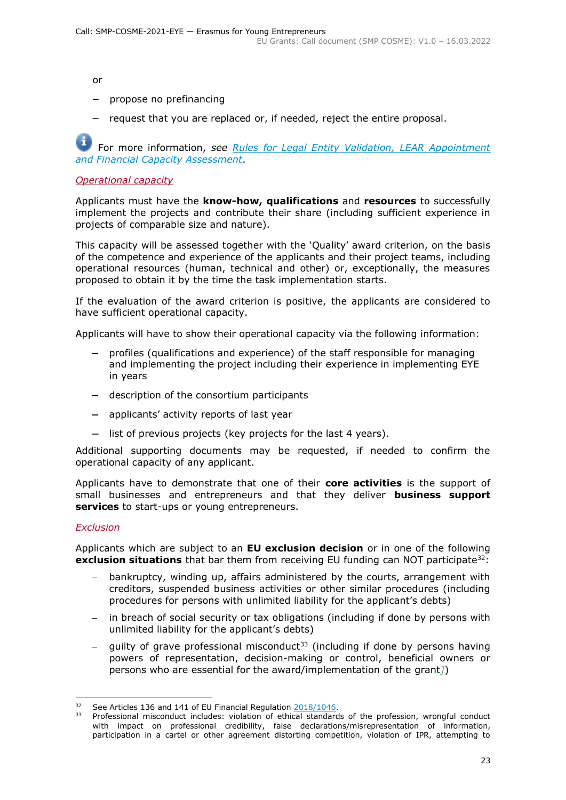or

- − propose no prefinancing
- − request that you are replaced or, if needed, reject the entire proposal.

For more information, *see Rules for [Legal Entity Validation, LEAR Appointment](https://ec.europa.eu/info/funding-tenders/opportunities/docs/2021-2027/common/guidance/rules-lev-lear-fca_en.pdf)  [and Financial Capacity Assessment](https://ec.europa.eu/info/funding-tenders/opportunities/docs/2021-2027/common/guidance/rules-lev-lear-fca_en.pdf)*.

#### <span id="page-22-0"></span>*Operational capacity*

Applicants must have the **know-how, qualifications** and **resources** to successfully implement the projects and contribute their share (including sufficient experience in projects of comparable size and nature).

This capacity will be assessed together with the 'Quality' award criterion, on the basis of the competence and experience of the applicants and their project teams, including operational resources (human, technical and other) or, exceptionally, the measures proposed to obtain it by the time the task implementation starts.

If the evaluation of the award criterion is positive, the applicants are considered to have sufficient operational capacity.

Applicants will have to show their operational capacity via the following information:

- − profiles (qualifications and experience) of the staff responsible for managing and implementing the project including their experience in implementing EYE in years
- − description of the consortium participants
- − applicants' activity reports of last year
- − list of previous projects (key projects for the last 4 years).

Additional supporting documents may be requested, if needed to confirm the operational capacity of any applicant.

Applicants have to demonstrate that one of their **core activities** is the support of small businesses and entrepreneurs and that they deliver **business support services** to start-ups or young entrepreneurs.

#### <span id="page-22-1"></span>*Exclusion*

Applicants which are subject to an **EU exclusion decision** or in one of the following **exclusion situations** that bar them from receiving EU funding can NOT participate<sup>32</sup>:

- − bankruptcy, winding up, affairs administered by the courts, arrangement with creditors, suspended business activities or other similar procedures (including procedures for persons with unlimited liability for the applicant's debts)
- in breach of social security or tax obligations (including if done by persons with unlimited liability for the applicant's debts)
- quilty of grave professional misconduct<sup>33</sup> (including if done by persons having powers of representation, decision-making or control, beneficial owners or persons who are essential for the award/implementation of the grant*]*)

<sup>&</sup>lt;sup>32</sup> See Articles 136 and 141 of EU Financial Regulation [2018/1046.](https://eur-lex.europa.eu/legal-content/EN/ALL/?uri=CELEX:32018R1046&qid=1535046024012)

Professional misconduct includes: violation of ethical standards of the profession, wrongful conduct with impact on professional credibility, false declarations/misrepresentation of information, participation in a cartel or other agreement distorting competition, violation of IPR, attempting to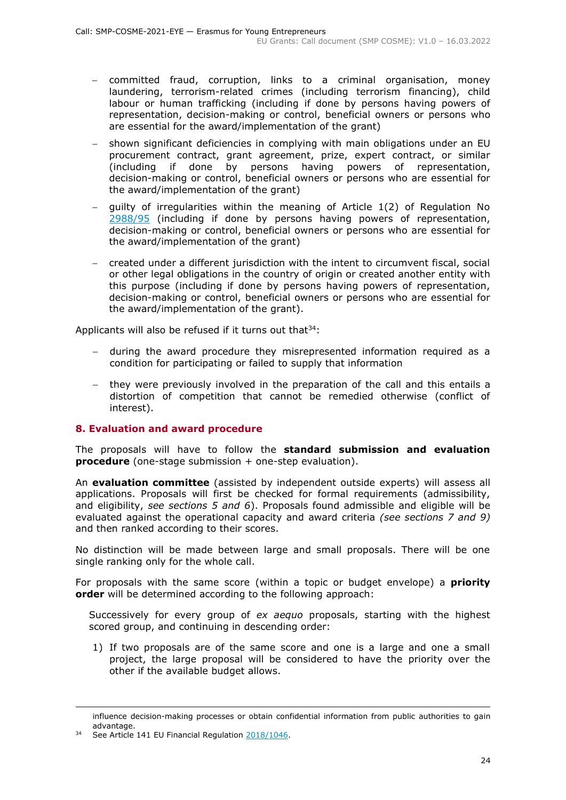- − committed fraud, corruption, links to a criminal organisation, money laundering, terrorism-related crimes (including terrorism financing), child labour or human trafficking (including if done by persons having powers of representation, decision-making or control, beneficial owners or persons who are essential for the award/implementation of the grant)
- shown significant deficiencies in complying with main obligations under an EU procurement contract, grant agreement, prize, expert contract, or similar (including if done by persons having powers of representation, decision-making or control, beneficial owners or persons who are essential for the award/implementation of the grant)
- − guilty of irregularities within the meaning of Article 1(2) of Regulation No [2988/95](http://eur-lex.europa.eu/legal-content/EN/ALL/?uri=CELEX:31995R2988&qid=1501598622514) (including if done by persons having powers of representation, decision-making or control, beneficial owners or persons who are essential for the award/implementation of the grant)
- − created under a different jurisdiction with the intent to circumvent fiscal, social or other legal obligations in the country of origin or created another entity with this purpose (including if done by persons having powers of representation, decision-making or control, beneficial owners or persons who are essential for the award/implementation of the grant).

Applicants will also be refused if it turns out that  $34$ :

- − during the award procedure they misrepresented information required as a condition for participating or failed to supply that information
- they were previously involved in the preparation of the call and this entails a distortion of competition that cannot be remedied otherwise (conflict of interest).

#### <span id="page-23-0"></span>**8. Evaluation and award procedure**

The proposals will have to follow the **standard submission and evaluation procedure** (one-stage submission + one-step evaluation).

An **evaluation committee** (assisted by independent outside experts) will assess all applications. Proposals will first be checked for formal requirements (admissibility, and eligibility, *see sections 5 and 6*). Proposals found admissible and eligible will be evaluated against the operational capacity and award criteria *(see sections 7 and 9)*  and then ranked according to their scores.

No distinction will be made between large and small proposals. There will be one single ranking only for the whole call.

For proposals with the same score (within a topic or budget envelope) a **priority order** will be determined according to the following approach:

Successively for every group of *ex aequo* proposals, starting with the highest scored group, and continuing in descending order:

1) If two proposals are of the same score and one is a large and one a small project, the large proposal will be considered to have the priority over the other if the available budget allows.

influence decision-making processes or obtain confidential information from public authorities to gain advantage.

See Article 141 EU Financial Regulation [2018/1046.](https://eur-lex.europa.eu/legal-content/EN/ALL/?uri=CELEX:32018R1046&qid=1535046024012)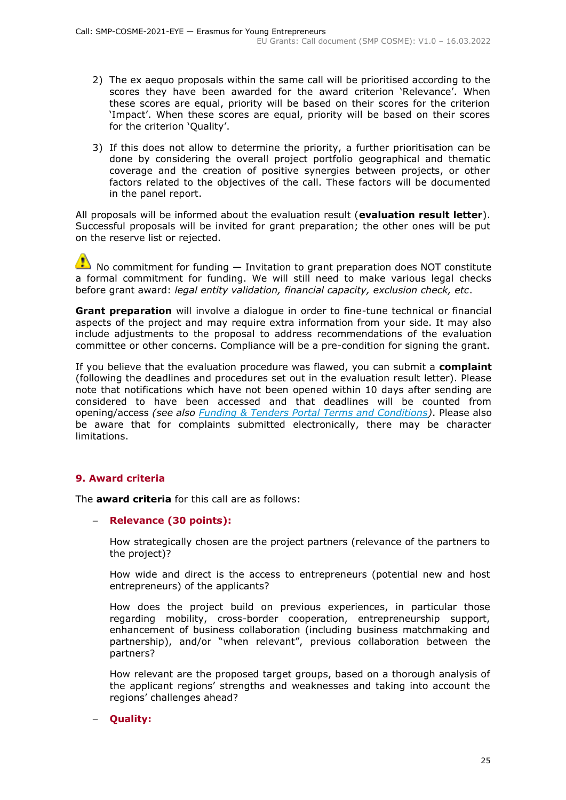- 2) The ex aequo proposals within the same call will be prioritised according to the scores they have been awarded for the award criterion 'Relevance'. When these scores are equal, priority will be based on their scores for the criterion 'Impact'. When these scores are equal, priority will be based on their scores for the criterion 'Quality'.
- 3) If this does not allow to determine the priority, a further prioritisation can be done by considering the overall project portfolio geographical and thematic coverage and the creation of positive synergies between projects, or other factors related to the objectives of the call. These factors will be documented in the panel report.

All proposals will be informed about the evaluation result (**evaluation result letter**). Successful proposals will be invited for grant preparation; the other ones will be put on the reserve list or rejected.

 $\bullet$  No commitment for funding  $-$  Invitation to grant preparation does NOT constitute a formal commitment for funding. We will still need to make various legal checks before grant award: *legal entity validation, financial capacity, exclusion check, etc*.

**Grant preparation** will involve a dialogue in order to fine-tune technical or financial aspects of the project and may require extra information from your side. It may also include adjustments to the proposal to address recommendations of the evaluation committee or other concerns. Compliance will be a pre-condition for signing the grant.

If you believe that the evaluation procedure was flawed, you can submit a **complaint** (following the deadlines and procedures set out in the evaluation result letter). Please note that notifications which have not been opened within 10 days after sending are considered to have been accessed and that deadlines will be counted from opening/access *(see also [Funding & Tenders Portal Terms and Conditions\)](https://ec.europa.eu/info/funding-tenders/opportunities/docs/2021-2027/common/ftp/tc_en.pdf)*. Please also be aware that for complaints submitted electronically, there may be character limitations.

#### <span id="page-24-0"></span>**9. Award criteria**

The **award criteria** for this call are as follows:

#### − **Relevance (30 points):**

How strategically chosen are the project partners (relevance of the partners to the project)?

How wide and direct is the access to entrepreneurs (potential new and host entrepreneurs) of the applicants?

How does the project build on previous experiences, in particular those regarding mobility, cross-border cooperation, entrepreneurship support, enhancement of business collaboration (including business matchmaking and partnership), and/or "when relevant", previous collaboration between the partners?

How relevant are the proposed target groups, based on a thorough analysis of the applicant regions' strengths and weaknesses and taking into account the regions' challenges ahead?

#### − **Quality:**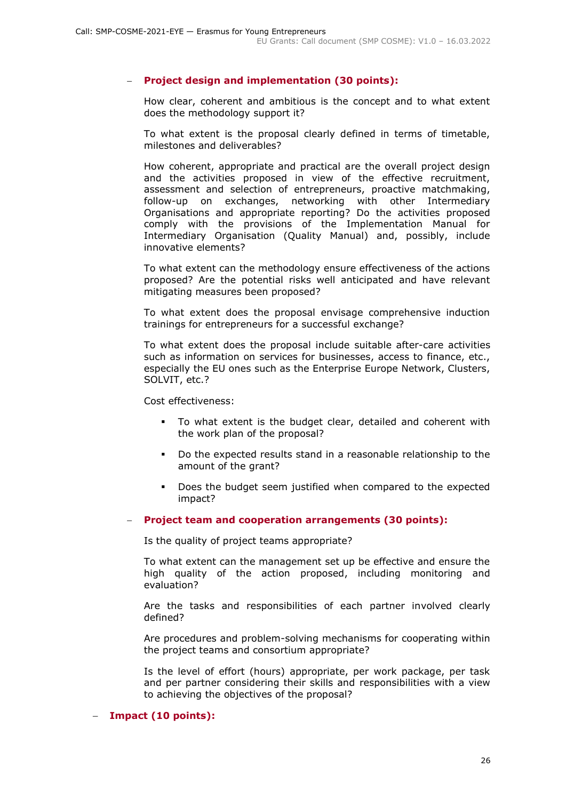#### − **Project design and implementation (30 points):**

How clear, coherent and ambitious is the concept and to what extent does the methodology support it?

To what extent is the proposal clearly defined in terms of timetable, milestones and deliverables?

How coherent, appropriate and practical are the overall project design and the activities proposed in view of the effective recruitment, assessment and selection of entrepreneurs, proactive matchmaking, follow-up on exchanges, networking with other Intermediary Organisations and appropriate reporting? Do the activities proposed comply with the provisions of the Implementation Manual for Intermediary Organisation (Quality Manual) and, possibly, include innovative elements?

To what extent can the methodology ensure effectiveness of the actions proposed? Are the potential risks well anticipated and have relevant mitigating measures been proposed?

To what extent does the proposal envisage comprehensive induction trainings for entrepreneurs for a successful exchange?

To what extent does the proposal include suitable after-care activities such as information on services for businesses, access to finance, etc., especially the EU ones such as the Enterprise Europe Network, Clusters, SOLVIT, etc.?

Cost effectiveness:

- To what extent is the budget clear, detailed and coherent with the work plan of the proposal?
- Do the expected results stand in a reasonable relationship to the amount of the grant?
- Does the budget seem justified when compared to the expected impact?

#### − **Project team and cooperation arrangements (30 points):**

Is the quality of project teams appropriate?

To what extent can the management set up be effective and ensure the high quality of the action proposed, including monitoring and evaluation?

Are the tasks and responsibilities of each partner involved clearly defined?

Are procedures and problem-solving mechanisms for cooperating within the project teams and consortium appropriate?

Is the level of effort (hours) appropriate, per work package, per task and per partner considering their skills and responsibilities with a view to achieving the objectives of the proposal?

#### − **Impact (10 points):**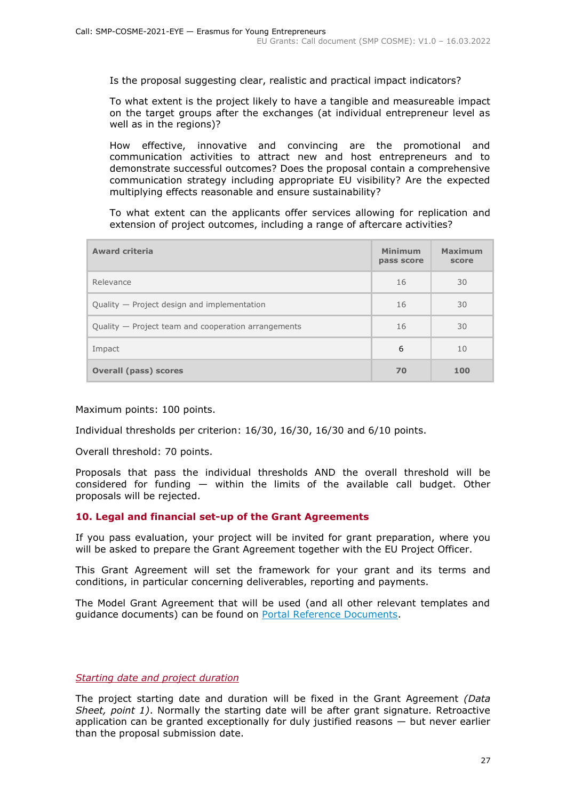Is the proposal suggesting clear, realistic and practical impact indicators?

To what extent is the project likely to have a tangible and measureable impact on the target groups after the exchanges (at individual entrepreneur level as well as in the regions)?

How effective, innovative and convincing are the promotional and communication activities to attract new and host entrepreneurs and to demonstrate successful outcomes? Does the proposal contain a comprehensive communication strategy including appropriate EU visibility? Are the expected multiplying effects reasonable and ensure sustainability?

To what extent can the applicants offer services allowing for replication and extension of project outcomes, including a range of aftercare activities?

| <b>Award criteria</b>                               | <b>Minimum</b><br>pass score | Maximum<br>score |
|-----------------------------------------------------|------------------------------|------------------|
| Relevance                                           | 16                           | 30               |
| Quality - Project design and implementation         | 16                           | 30               |
| Quality – Project team and cooperation arrangements | 16                           | 30               |
| Impact                                              | 6                            | 10               |
| <b>Overall (pass) scores</b>                        | 70                           | 100              |

#### Maximum points: 100 points.

Individual thresholds per criterion: 16/30, 16/30, 16/30 and 6/10 points.

Overall threshold: 70 points.

Proposals that pass the individual thresholds AND the overall threshold will be considered for funding  $-$  within the limits of the available call budget. Other proposals will be rejected.

#### <span id="page-26-0"></span>**10. Legal and financial set-up of the Grant Agreements**

If you pass evaluation, your project will be invited for grant preparation, where you will be asked to prepare the Grant Agreement together with the EU Project Officer.

This Grant Agreement will set the framework for your grant and its terms and conditions, in particular concerning deliverables, reporting and payments.

The Model Grant Agreement that will be used (and all other relevant templates and guidance documents) can be found on [Portal Reference Documents.](https://ec.europa.eu/info/funding-tenders/opportunities/portal/screen/how-to-participate/reference-documents)

#### <span id="page-26-1"></span>*Starting date and project duration*

The project starting date and duration will be fixed in the Grant Agreement *(Data Sheet, point 1)*. Normally the starting date will be after grant signature. Retroactive application can be granted exceptionally for duly justified reasons  $-$  but never earlier than the proposal submission date.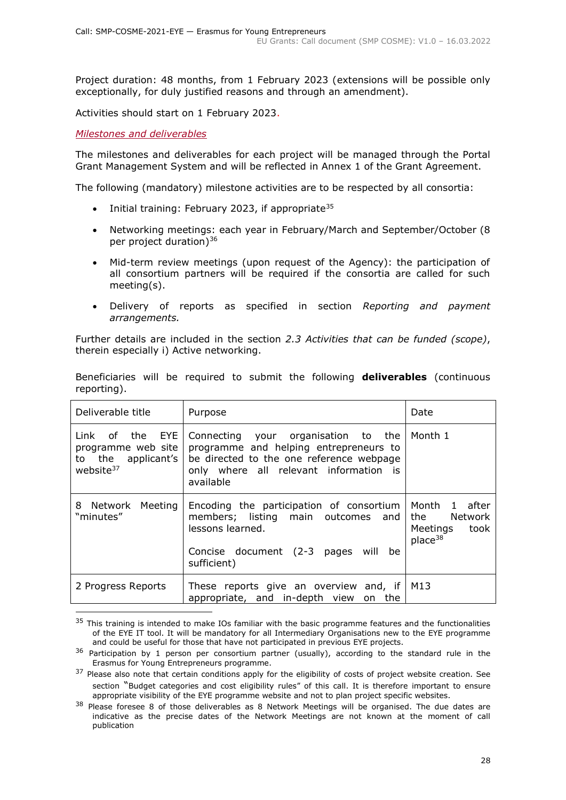Project duration: 48 months, from 1 February 2023 (extensions will be possible only exceptionally, for duly justified reasons and through an amendment).

Activities should start on 1 February 2023.

<span id="page-27-0"></span>*Milestones and deliverables*

The milestones and deliverables for each project will be managed through the Portal Grant Management System and will be reflected in Annex 1 of the Grant Agreement.

The following (mandatory) milestone activities are to be respected by all consortia:

- Initial training: February 2023, if appropriate<sup>35</sup>
- Networking meetings: each year in February/March and September/October (8 per project duration)<sup>36</sup>
- Mid-term review meetings (upon request of the Agency): the participation of all consortium partners will be required if the consortia are called for such meeting(s).
- Delivery of reports as specified in section *Reporting and payment arrangements.*

Further details are included in the section *2.3 Activities that can be funded (scope)*, therein especially i) Active networking.

| Deliverable title                                                                    | Purpose                                                                                                                                                                          | Date                                                                       |  |
|--------------------------------------------------------------------------------------|----------------------------------------------------------------------------------------------------------------------------------------------------------------------------------|----------------------------------------------------------------------------|--|
| Link of the EYE<br>programme web site<br>to the applicant's<br>website <sup>37</sup> | Connecting your organisation to the<br>programme and helping entrepreneurs to<br>be directed to the one reference webpage<br>only where all relevant information is<br>available | Month 1                                                                    |  |
| 8 Network Meeting<br>"minutes"                                                       | Encoding the participation of consortium<br>members; listing main outcomes and<br>lessons learned.<br>Concise document (2-3 pages will<br>be<br>sufficient)                      | Month 1 after<br>the<br>Network<br>Meetings<br>took<br>place <sup>38</sup> |  |
| 2 Progress Reports                                                                   | These reports give an overview and, if $ M13\rangle$<br>appropriate, and in-depth view<br>the<br>on                                                                              |                                                                            |  |

Beneficiaries will be required to submit the following **deliverables** (continuous reporting).

<sup>&</sup>lt;sup>35</sup> This training is intended to make IOs familiar with the basic programme features and the functionalities of the EYE IT tool. It will be mandatory for all Intermediary Organisations new to the EYE programme and could be useful for those that have not participated in previous EYE projects.

 $36$  Participation by 1 person per consortium partner (usually), according to the standard rule in the Erasmus for Young Entrepreneurs programme.

<sup>&</sup>lt;sup>37</sup> Please also note that certain conditions apply for the eligibility of costs of project website creation. See section "Budget categories and cost eligibility rules" of this call. It is therefore important to ensure appropriate visibility of the EYE programme website and not to plan project specific websites.

<sup>&</sup>lt;sup>38</sup> Please foresee 8 of those deliverables as 8 Network Meetings will be organised. The due dates are indicative as the precise dates of the Network Meetings are not known at the moment of call publication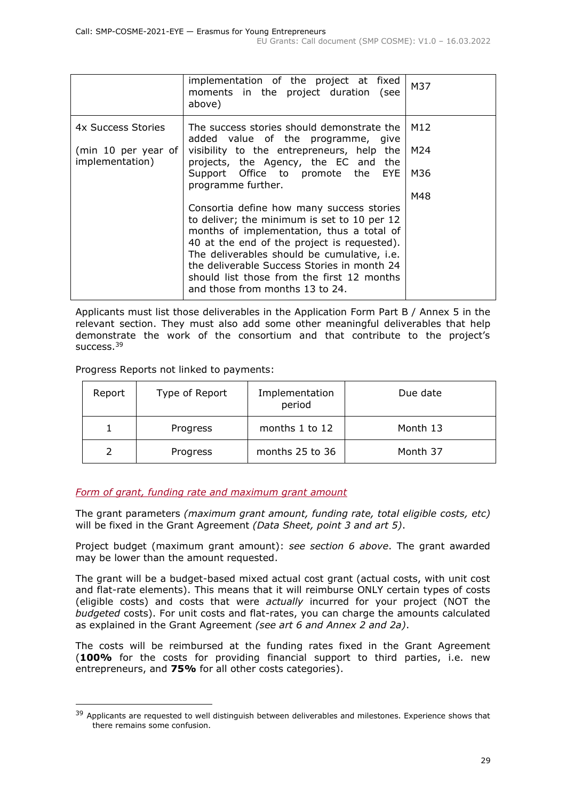|                                                                                                                                                                                                                                                                                                                                                                     | implementation of the project at fixed<br>moments in the project duration (see<br>above) | M37 |
|---------------------------------------------------------------------------------------------------------------------------------------------------------------------------------------------------------------------------------------------------------------------------------------------------------------------------------------------------------------------|------------------------------------------------------------------------------------------|-----|
| 4x Success Stories                                                                                                                                                                                                                                                                                                                                                  | The success stories should demonstrate the<br>added value of the programme, give         | M12 |
| (min 10 per year of<br>implementation)                                                                                                                                                                                                                                                                                                                              | visibility to the entrepreneurs, help the<br>projects, the Agency, the EC and the        | M24 |
|                                                                                                                                                                                                                                                                                                                                                                     | Support Office to promote the<br>EYE<br>programme further.                               | M36 |
|                                                                                                                                                                                                                                                                                                                                                                     |                                                                                          | M48 |
| Consortia define how many success stories<br>to deliver; the minimum is set to 10 per 12<br>months of implementation, thus a total of<br>40 at the end of the project is requested).<br>The deliverables should be cumulative, i.e.<br>the deliverable Success Stories in month 24<br>should list those from the first 12 months<br>and those from months 13 to 24. |                                                                                          |     |

Applicants must list those deliverables in the Application Form Part B / Annex 5 in the relevant section. They must also add some other meaningful deliverables that help demonstrate the work of the consortium and that contribute to the project's success.<sup>39</sup>

Progress Reports not linked to payments:

| Report | Type of Report | Implementation<br>period | Due date |
|--------|----------------|--------------------------|----------|
|        | Progress       | months 1 to 12           | Month 13 |
|        | Progress       | months 25 to 36          | Month 37 |

#### <span id="page-28-0"></span>*Form of grant, funding rate and maximum grant amount*

The grant parameters *(maximum grant amount, funding rate, total eligible costs, etc)* will be fixed in the Grant Agreement *(Data Sheet, point 3 and art 5)*.

Project budget (maximum grant amount): *see section 6 above*. The grant awarded may be lower than the amount requested.

The grant will be a budget-based mixed actual cost grant (actual costs, with unit cost and flat-rate elements). This means that it will reimburse ONLY certain types of costs (eligible costs) and costs that were *actually* incurred for your project (NOT the *budgeted* costs). For unit costs and flat-rates, you can charge the amounts calculated as explained in the Grant Agreement *(see art 6 and Annex 2 and 2a)*.

The costs will be reimbursed at the funding rates fixed in the Grant Agreement (**100%** for the costs for providing financial support to third parties, i.e. new entrepreneurs, and **75%** for all other costs categories).

<sup>&</sup>lt;sup>39</sup> Applicants are requested to well distinguish between deliverables and milestones. Experience shows that there remains some confusion.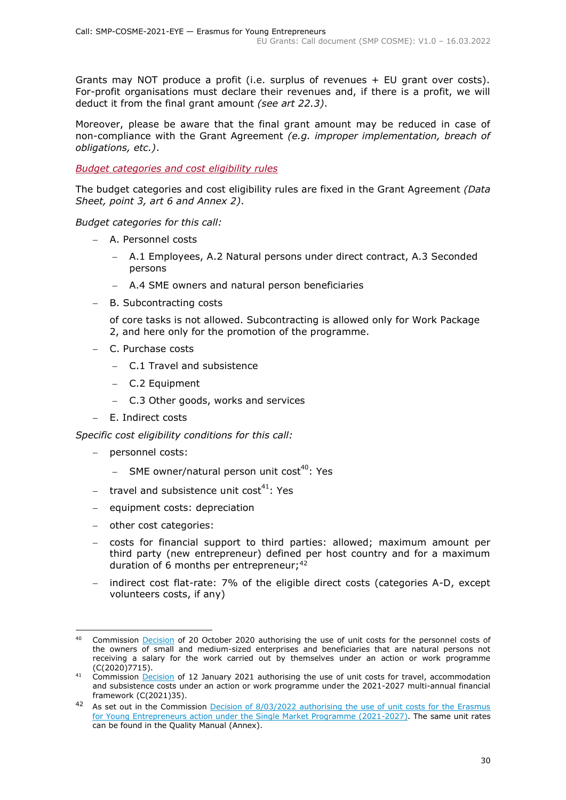Grants may NOT produce a profit (i.e. surplus of revenues + EU grant over costs). For-profit organisations must declare their revenues and, if there is a profit, we will deduct it from the final grant amount *(see art 22.3)*.

Moreover, please be aware that the final grant amount may be reduced in case of non-compliance with the Grant Agreement *(e.g. improper implementation, breach of obligations, etc.)*.

<span id="page-29-0"></span>*Budget categories and cost eligibility rules*

The budget categories and cost eligibility rules are fixed in the Grant Agreement *(Data Sheet, point 3, art 6 and Annex 2)*.

*Budget categories for this call:*

- − A. Personnel costs
	- − A.1 Employees, A.2 Natural persons under direct contract, A.3 Seconded persons
	- A.4 SME owners and natural person beneficiaries
- − B. Subcontracting costs

of core tasks is not allowed. Subcontracting is allowed only for Work Package 2, and here only for the promotion of the programme.

- − C. Purchase costs
	- − C.1 Travel and subsistence
	- − C.2 Equipment
	- − C.3 Other goods, works and services
- − E. Indirect costs

*Specific cost eligibility conditions for this call:* 

- − personnel costs:
	- − SME owner/natural person unit cost<sup>40</sup>: Yes
- − travel and subsistence unit cost<sup>41</sup>: Yes
- − equipment costs: depreciation
- − other cost categories:
- − costs for financial support to third parties: allowed; maximum amount per third party (new entrepreneur) defined per host country and for a maximum duration of 6 months per entrepreneur;<sup>42</sup>
- − indirect cost flat-rate: 7% of the eligible direct costs (categories A-D, except volunteers costs, if any)

<sup>&</sup>lt;sup>40</sup> Commission **Decision** of 20 October 2020 authorising the use of unit costs for the personnel costs of the owners of small and medium-sized enterprises and beneficiaries that are natural persons not receiving a salary for the work carried out by themselves under an action or work programme (C(2020)7715).

 $\frac{1}{41}$  Commission **Decision** of 12 January 2021 authorising the use of unit costs for travel, accommodation and subsistence costs under an action or work programme under the 2021-2027 multi-annual financial framework (C(2021)35).

<sup>42</sup> As set out in the Commission Decision of 8/03/2022 authorising the use of unit costs for the Erasmus [for Young Entrepreneurs action under the Single Market Programme \(2021-2027\).](https://ec.europa.eu/info/funding-tenders/opportunities/docs/2021-2027/smp/guidance/unit-cost-decision_smp-cosme-eye_en.pdf) The same unit rates can be found in the Quality Manual (Annex).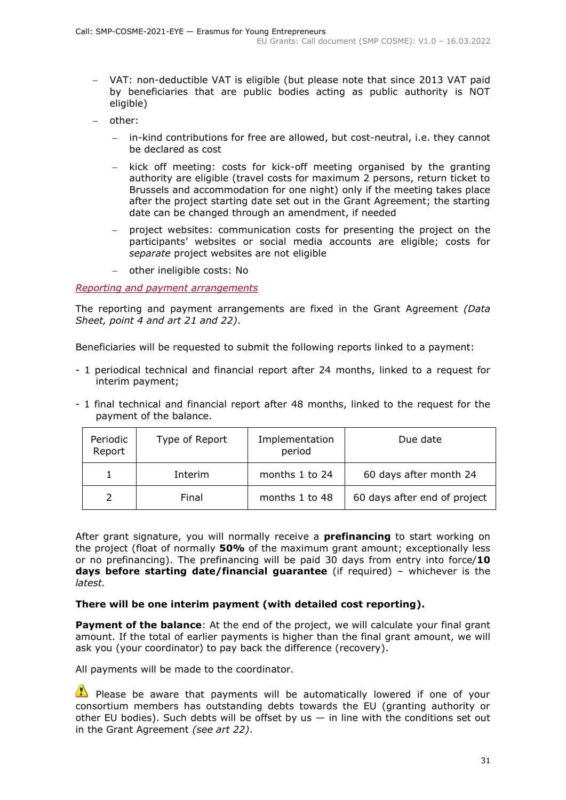- − VAT: non-deductible VAT is eligible (but please note that since 2013 VAT paid by beneficiaries that are public bodies acting as public authority is NOT eligible)
- − other:
	- in-kind contributions for free are allowed, but cost-neutral, i.e. they cannot be declared as cost
	- kick off meeting: costs for kick-off meeting organised by the granting authority are eligible (travel costs for maximum 2 persons, return ticket to Brussels and accommodation for one night) only if the meeting takes place after the project starting date set out in the Grant Agreement; the starting date can be changed through an amendment, if needed
	- − project websites: communication costs for presenting the project on the participants' websites or social media accounts are eligible; costs for *separate* project websites are not eligible
	- − other ineligible costs: No

#### <span id="page-30-0"></span>*Reporting and payment arrangements*

The reporting and payment arrangements are fixed in the Grant Agreement *(Data Sheet, point 4 and art 21 and 22)*.

Beneficiaries will be requested to submit the following reports linked to a payment:

- 1 periodical technical and financial report after 24 months, linked to a request for interim payment;
- 1 final technical and financial report after 48 months, linked to the request for the payment of the balance.

| Periodic<br>Report | Type of Report | Implementation<br>period | Due date                     |
|--------------------|----------------|--------------------------|------------------------------|
|                    | Interim        | months 1 to 24           | 60 days after month 24       |
|                    | Final          | months 1 to 48           | 60 days after end of project |

After grant signature, you will normally receive a **prefinancing** to start working on the project (float of normally **50%** of the maximum grant amount; exceptionally less or no prefinancing). The prefinancing will be paid 30 days from entry into force/**10 days before starting date/financial guarantee** (if required) – whichever is the *latest.*

#### **There will be one interim payment (with detailed cost reporting).**

**Payment of the balance**: At the end of the project, we will calculate your final grant amount. If the total of earlier payments is higher than the final grant amount, we will ask you (your coordinator) to pay back the difference (recovery).

All payments will be made to the coordinator.

 $\bullet$  Please be aware that payments will be automatically lowered if one of your consortium members has outstanding debts towards the EU (granting authority or other EU bodies). Such debts will be offset by us  $-$  in line with the conditions set out in the Grant Agreement *(see art 22)*.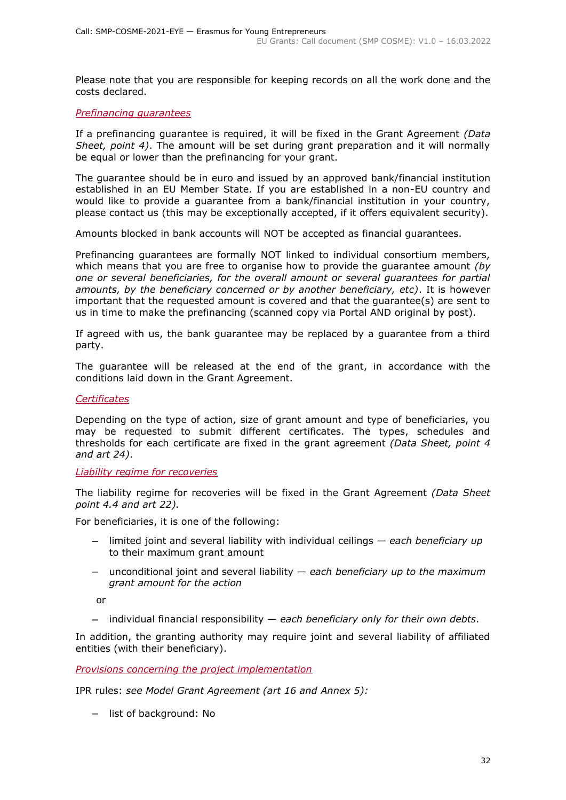Please note that you are responsible for keeping records on all the work done and the costs declared.

#### <span id="page-31-0"></span>*Prefinancing guarantees*

If a prefinancing guarantee is required, it will be fixed in the Grant Agreement *(Data Sheet, point 4)*. The amount will be set during grant preparation and it will normally be equal or lower than the prefinancing for your grant.

The guarantee should be in euro and issued by an approved bank/financial institution established in an EU Member State. If you are established in a non-EU country and would like to provide a guarantee from a bank/financial institution in your country, please contact us (this may be exceptionally accepted, if it offers equivalent security).

Amounts blocked in bank accounts will NOT be accepted as financial guarantees.

Prefinancing guarantees are formally NOT linked to individual consortium members, which means that you are free to organise how to provide the guarantee amount *(by one or several beneficiaries, for the overall amount or several guarantees for partial amounts, by the beneficiary concerned or by another beneficiary, etc)*. It is however important that the requested amount is covered and that the guarantee(s) are sent to us in time to make the prefinancing (scanned copy via Portal AND original by post).

If agreed with us, the bank guarantee may be replaced by a guarantee from a third party.

The guarantee will be released at the end of the grant, in accordance with the conditions laid down in the Grant Agreement.

#### <span id="page-31-1"></span>*Certificates*

Depending on the type of action, size of grant amount and type of beneficiaries, you may be requested to submit different certificates. The types, schedules and thresholds for each certificate are fixed in the grant agreement *(Data Sheet, point 4 and art 24)*.

#### <span id="page-31-2"></span>*Liability regime for recoveries*

The liability regime for recoveries will be fixed in the Grant Agreement *(Data Sheet point 4.4 and art 22).*

For beneficiaries, it is one of the following:

- − limited joint and several liability with individual ceilings *each beneficiary up*  to their maximum grant amount
- − unconditional joint and several liability *each beneficiary up to the maximum grant amount for the action*

or

− individual financial responsibility — *each beneficiary only for their own debts*.

In addition, the granting authority may require joint and several liability of affiliated entities (with their beneficiary).

<span id="page-31-3"></span>*Provisions concerning the project implementation*

IPR rules: *see Model Grant Agreement (art 16 and Annex 5):*

− list of background: No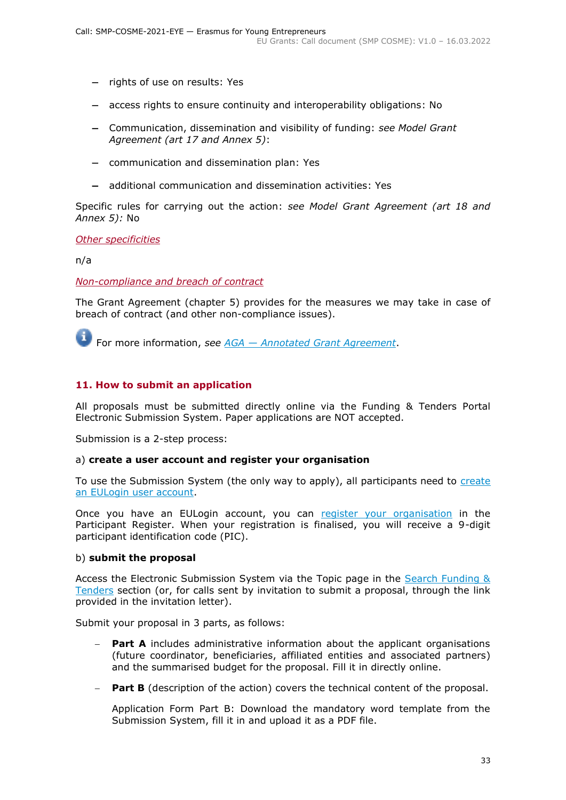- − rights of use on results: Yes
- − access rights to ensure continuity and interoperability obligations: No
- − Communication, dissemination and visibility of funding: *see Model Grant Agreement (art 17 and Annex 5)*:
- − communication and dissemination plan: Yes
- − additional communication and dissemination activities: Yes

Specific rules for carrying out the action: *see Model Grant Agreement (art 18 and Annex 5):* No

<span id="page-32-0"></span>*Other specificities*

n/a

<span id="page-32-1"></span>*Non-compliance and breach of contract*

The Grant Agreement (chapter 5) provides for the measures we may take in case of breach of contract (and other non-compliance issues).

For more information, *see [AGA](https://ec.europa.eu/info/funding-tenders/opportunities/docs/2021-2027/common/guidance/aga_en.pdf) — [Annotated Grant Agreement](https://ec.europa.eu/info/funding-tenders/opportunities/docs/2021-2027/common/guidance/aga_en.pdf)*.

#### <span id="page-32-2"></span>**11. How to submit an application**

All proposals must be submitted directly online via the Funding & Tenders Portal Electronic Submission System. Paper applications are NOT accepted.

Submission is a 2-step process:

#### a) **create a user account and register your organisation**

To use the Submission System (the only way to apply), all participants need to create [an EULogin user account.](https://webgate.ec.europa.eu/cas/eim/external/register.cgi)

Once you have an EULogin account, you can [register your organisation](https://ec.europa.eu/info/funding-tenders/opportunities/portal/screen/how-to-participate/participant-register) in the Participant Register. When your registration is finalised, you will receive a 9-digit participant identification code (PIC).

#### b) **submit the proposal**

Access the Electronic Submission System via the Topic page in the [Search Funding &](https://ec.europa.eu/info/funding-tenders/opportunities/portal/screen/opportunities/topic-search;freeTextSearchKeyword=;typeCodes=0,1;statusCodes=31094501,31094502,31094503;programCode=null;programDivisionCode=null;focusAreaCode=null;crossCuttingPriorityCode=null;callCode=Default;sortQuery=openingDate;orderBy=asc;onlyTenders=false;topicListKey=topicSearchTablePageState)  [Tenders](https://ec.europa.eu/info/funding-tenders/opportunities/portal/screen/opportunities/topic-search;freeTextSearchKeyword=;typeCodes=0,1;statusCodes=31094501,31094502,31094503;programCode=null;programDivisionCode=null;focusAreaCode=null;crossCuttingPriorityCode=null;callCode=Default;sortQuery=openingDate;orderBy=asc;onlyTenders=false;topicListKey=topicSearchTablePageState) section (or, for calls sent by invitation to submit a proposal, through the link provided in the invitation letter).

Submit your proposal in 3 parts, as follows:

- **Part A** includes administrative information about the applicant organisations (future coordinator, beneficiaries, affiliated entities and associated partners) and the summarised budget for the proposal. Fill it in directly online.
- **Part B** (description of the action) covers the technical content of the proposal.

Application Form Part B: Download the mandatory word template from the Submission System, fill it in and upload it as a PDF file.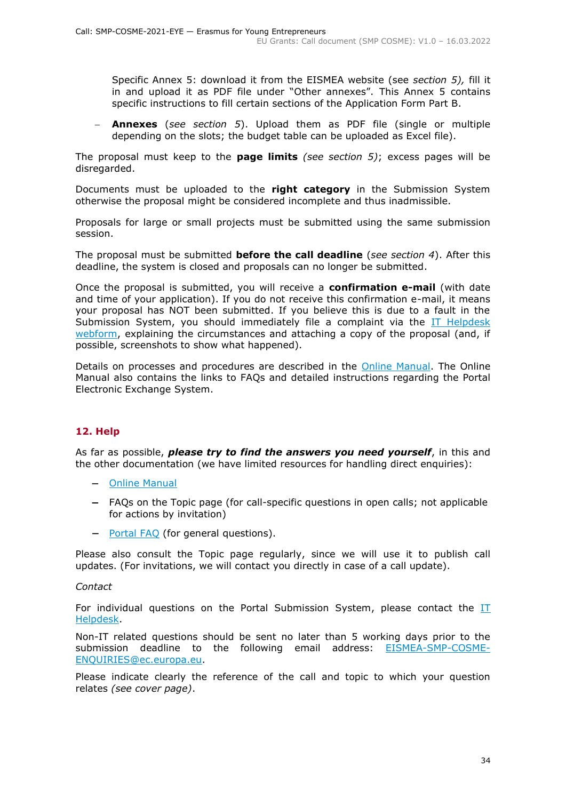Specific Annex 5: download it from the EISMEA website (see *section 5),* fill it in and upload it as PDF file under "Other annexes". This Annex 5 contains specific instructions to fill certain sections of the Application Form Part B.

**Annexes** (*see section 5*). Upload them as PDF file (single or multiple depending on the slots; the budget table can be uploaded as Excel file).

The proposal must keep to the **page limits** *(see section 5)*; excess pages will be disregarded.

Documents must be uploaded to the **right category** in the Submission System otherwise the proposal might be considered incomplete and thus inadmissible.

Proposals for large or small projects must be submitted using the same submission session.

The proposal must be submitted **before the call deadline** (*see section 4*). After this deadline, the system is closed and proposals can no longer be submitted.

Once the proposal is submitted, you will receive a **confirmation e-mail** (with date and time of your application). If you do not receive this confirmation e-mail, it means your proposal has NOT been submitted. If you believe this is due to a fault in the Submission System, you should immediately file a complaint via the [IT Helpdesk](https://ec.europa.eu/info/funding-tenders/opportunities/portal/screen/support/helpdesks/contact-form)  [webform,](https://ec.europa.eu/info/funding-tenders/opportunities/portal/screen/support/helpdesks/contact-form) explaining the circumstances and attaching a copy of the proposal (and, if possible, screenshots to show what happened).

Details on processes and procedures are described in the [Online Manual.](https://ec.europa.eu/info/funding-tenders/opportunities/docs/2021-2027/common/guidance/om_en.pdf) The Online Manual also contains the links to FAQs and detailed instructions regarding the Portal Electronic Exchange System.

# <span id="page-33-0"></span>**12. Help**

As far as possible, *please try to find the answers you need yourself*, in this and the other documentation (we have limited resources for handling direct enquiries):

- − [Online Manual](https://ec.europa.eu/info/funding-tenders/opportunities/docs/2021-2027/common/guidance/om_en.pdf)
- − FAQs on the Topic page (for call-specific questions in open calls; not applicable for actions by invitation)
- − [Portal](https://ec.europa.eu/info/funding-tenders/opportunities/portal/screen/support/faq;categories=;programme=null;actions=;keyword=) FAQ (for general questions).

Please also consult the Topic page regularly, since we will use it to publish call updates. (For invitations, we will contact you directly in case of a call update).

#### *Contact*

For individual questions on the Portal Submission System, please contact the  $II$ [Helpdesk.](https://ec.europa.eu/info/funding-tenders/opportunities/portal/screen/support/helpdesks/contact-form)

Non-IT related questions should be sent no later than 5 working days prior to the submission deadline to the following email address: [EISMEA-SMP-COSME-](mailto:EISMEA-SMP-COSME-ENQUIRIES@ec.europa.eu)[ENQUIRIES@ec.europa.eu.](mailto:EISMEA-SMP-COSME-ENQUIRIES@ec.europa.eu)

Please indicate clearly the reference of the call and topic to which your question relates *(see cover page)*.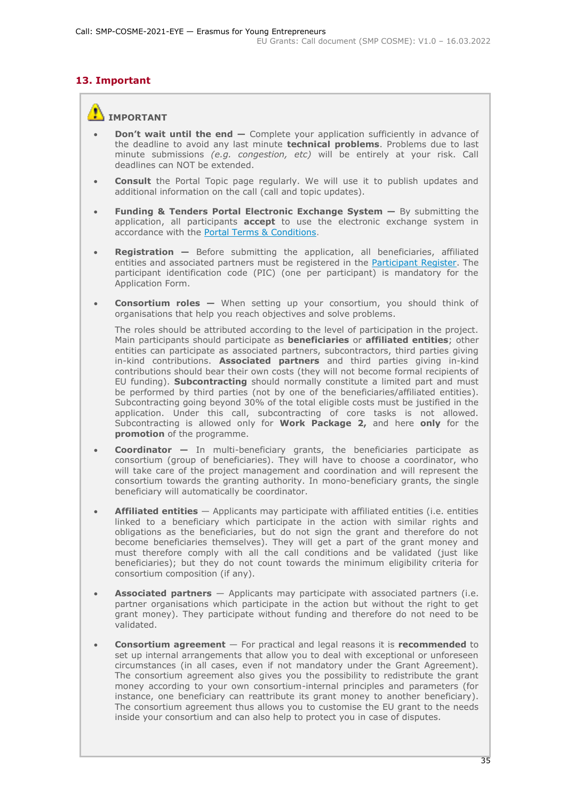# <span id="page-34-0"></span>**13. Important**

# **IMPORTANT**

- **Don't wait until the end —** Complete your application sufficiently in advance of the deadline to avoid any last minute **technical problems**. Problems due to last minute submissions *(e.g. congestion, etc)* will be entirely at your risk. Call deadlines can NOT be extended.
- **Consult** the Portal Topic page regularly. We will use it to publish updates and additional information on the call (call and topic updates).
- **Funding & Tenders Portal Electronic Exchange System —** By submitting the application, all participants **accept** to use the electronic exchange system in accordance with the [Portal Terms & Conditions.](https://ec.europa.eu/info/funding-tenders/opportunities/docs/2021-2027/common/ftp/tc_en.pdf)
- **Registration —** Before submitting the application, all beneficiaries, affiliated entities and associated partners must be registered in the [Participant Register.](https://ec.europa.eu/info/funding-tenders/opportunities/portal/screen/how-to-participate/participant-register) The participant identification code (PIC) (one per participant) is mandatory for the Application Form.
- **Consortium roles —** When setting up your consortium, you should think of organisations that help you reach objectives and solve problems.

The roles should be attributed according to the level of participation in the project. Main participants should participate as **beneficiaries** or **affiliated entities**; other entities can participate as associated partners, subcontractors, third parties giving in-kind contributions. **Associated partners** and third parties giving in-kind contributions should bear their own costs (they will not become formal recipients of EU funding). **Subcontracting** should normally constitute a limited part and must be performed by third parties (not by one of the beneficiaries/affiliated entities). Subcontracting going beyond 30% of the total eligible costs must be justified in the application. Under this call, subcontracting of core tasks is not allowed. Subcontracting is allowed only for **Work Package 2,** and here **only** for the **promotion** of the programme.

- **Coordinator —** In multi-beneficiary grants, the beneficiaries participate as consortium (group of beneficiaries). They will have to choose a coordinator, who will take care of the project management and coordination and will represent the consortium towards the granting authority. In mono-beneficiary grants, the single beneficiary will automatically be coordinator.
- **Affiliated entities** Applicants may participate with affiliated entities (i.e. entities linked to a beneficiary which participate in the action with similar rights and obligations as the beneficiaries, but do not sign the grant and therefore do not become beneficiaries themselves). They will get a part of the grant money and must therefore comply with all the call conditions and be validated (just like beneficiaries); but they do not count towards the minimum eligibility criteria for consortium composition (if any).
- **Associated partners** Applicants may participate with associated partners (i.e. partner organisations which participate in the action but without the right to get grant money). They participate without funding and therefore do not need to be validated.
- **Consortium agreement**  For practical and legal reasons it is **recommended** to set up internal arrangements that allow you to deal with exceptional or unforeseen circumstances (in all cases, even if not mandatory under the Grant Agreement). The consortium agreement also gives you the possibility to redistribute the grant money according to your own consortium-internal principles and parameters (for instance, one beneficiary can reattribute its grant money to another beneficiary). The consortium agreement thus allows you to customise the EU grant to the needs inside your consortium and can also help to protect you in case of disputes.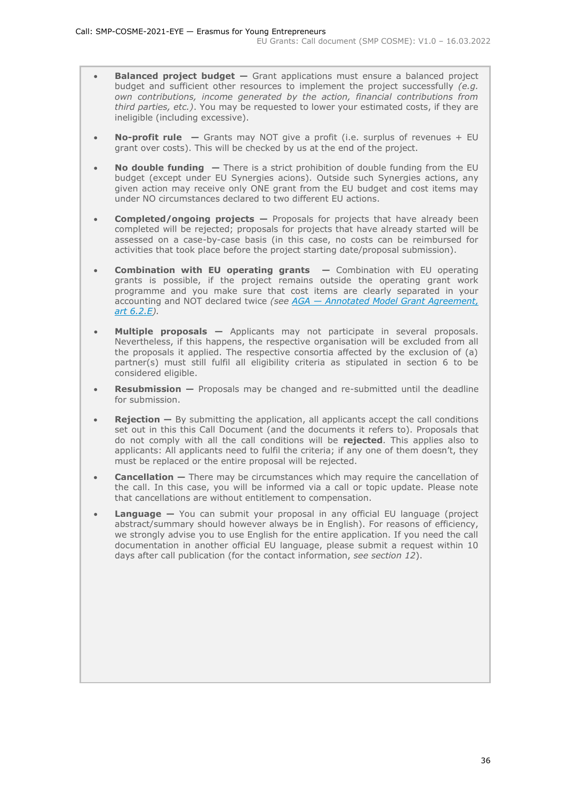- **Balanced project budget —** Grant applications must ensure a balanced project budget and sufficient other resources to implement the project successfully *(e.g. own contributions, income generated by the action, financial contributions from third parties, etc.)*. You may be requested to lower your estimated costs, if they are ineligible (including excessive).
- **No-profit rule —** Grants may NOT give a profit (i.e. surplus of revenues + EU grant over costs). This will be checked by us at the end of the project.
- **No double funding —** There is a strict prohibition of double funding from the EU budget (except under EU Synergies acions). Outside such Synergies actions, any given action may receive only ONE grant from the EU budget and cost items may under NO circumstances declared to two different EU actions.
- **Completed/ongoing projects —** Proposals for projects that have already been completed will be rejected; proposals for projects that have already started will be assessed on a case-by-case basis (in this case, no costs can be reimbursed for activities that took place before the project starting date/proposal submission).
- **Combination with EU operating grants —** Combination with EU operating grants is possible, if the project remains outside the operating grant work programme and you make sure that cost items are clearly separated in your accounting and NOT declared twice *(see AGA — [Annotated Model Grant Agreement,](https://ec.europa.eu/info/funding-tenders/opportunities/docs/2021-2027/common/guidance/aga_en.pdf)  [art 6.2.E\)](https://ec.europa.eu/info/funding-tenders/opportunities/docs/2021-2027/common/guidance/aga_en.pdf).*
- **Multiple proposals —** Applicants may not participate in several proposals. Nevertheless, if this happens, the respective organisation will be excluded from all the proposals it applied. The respective consortia affected by the exclusion of (a) partner(s) must still fulfil all eligibility criteria as stipulated in section 6 to be considered eligible.
- **Resubmission —** Proposals may be changed and re-submitted until the deadline for submission.
- **Rejection** By submitting the application, all applicants accept the call conditions set out in this this Call Document (and the documents it refers to). Proposals that do not comply with all the call conditions will be **rejected**. This applies also to applicants: All applicants need to fulfil the criteria; if any one of them doesn't, they must be replaced or the entire proposal will be rejected.
- **Cancellation –** There may be circumstances which may require the cancellation of the call. In this case, you will be informed via a call or topic update. Please note that cancellations are without entitlement to compensation.
- **Language** You can submit your proposal in any official EU language (project abstract/summary should however always be in English). For reasons of efficiency, we strongly advise you to use English for the entire application. If you need the call documentation in another official EU language, please submit a request within 10 days after call publication (for the contact information, *see section 12*).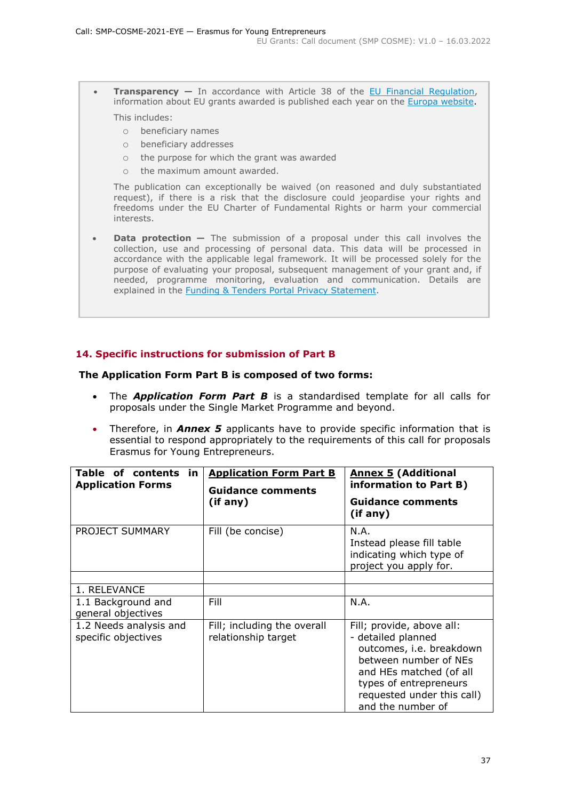• **Transparency —** In accordance with Article 38 of the [EU Financial Regulation,](https://eur-lex.europa.eu/legal-content/EN/ALL/?uri=CELEX:32018R1046&qid=1535046024012) information about EU grants awarded is published each year on the [Europa website.](https://ec.europa.eu/budget/fts/index_en.htm) This includes:

- o beneficiary names
- o beneficiary addresses
- o the purpose for which the grant was awarded
- o the maximum amount awarded.

The publication can exceptionally be waived (on reasoned and duly substantiated request), if there is a risk that the disclosure could jeopardise your rights and freedoms under the EU Charter of Fundamental Rights or harm your commercial interests.

• **Data protection —** The submission of a proposal under this call involves the collection, use and processing of personal data. This data will be processed in accordance with the applicable legal framework. It will be processed solely for the purpose of evaluating your proposal, subsequent management of your grant and, if needed, programme monitoring, evaluation and communication. Details are explained in the [Funding & Tenders Portal Privacy Statement.](https://ec.europa.eu/info/funding-tenders/opportunities/docs/2021-2027/common/ftp/privacy-statement_en.pdf)

### <span id="page-36-0"></span>**14. Specific instructions for submission of Part B**

#### **The Application Form Part B is composed of two forms:**

- The *Application Form Part B* is a standardised template for all calls for proposals under the Single Market Programme and beyond.
- Therefore, in *Annex 5* applicants have to provide specific information that is essential to respond appropriately to the requirements of this call for proposals Erasmus for Young Entrepreneurs.

| Table of contents<br>in<br><b>Application Forms</b> | <b>Application Form Part B</b><br><b>Guidance comments</b><br>(if any) | <b>Annex 5 (Additional</b><br>information to Part B)<br><b>Guidance comments</b><br>(if any)                                                                                                                 |
|-----------------------------------------------------|------------------------------------------------------------------------|--------------------------------------------------------------------------------------------------------------------------------------------------------------------------------------------------------------|
| PROJECT SUMMARY                                     | Fill (be concise)                                                      | N.A.<br>Instead please fill table<br>indicating which type of<br>project you apply for.                                                                                                                      |
| 1. RELEVANCE                                        |                                                                        |                                                                                                                                                                                                              |
| 1.1 Background and<br>general objectives            | Fill                                                                   | N.A.                                                                                                                                                                                                         |
| 1.2 Needs analysis and<br>specific objectives       | Fill; including the overall<br>relationship target                     | Fill; provide, above all:<br>- detailed planned<br>outcomes, i.e. breakdown<br>between number of NEs<br>and HEs matched (of all<br>types of entrepreneurs<br>requested under this call)<br>and the number of |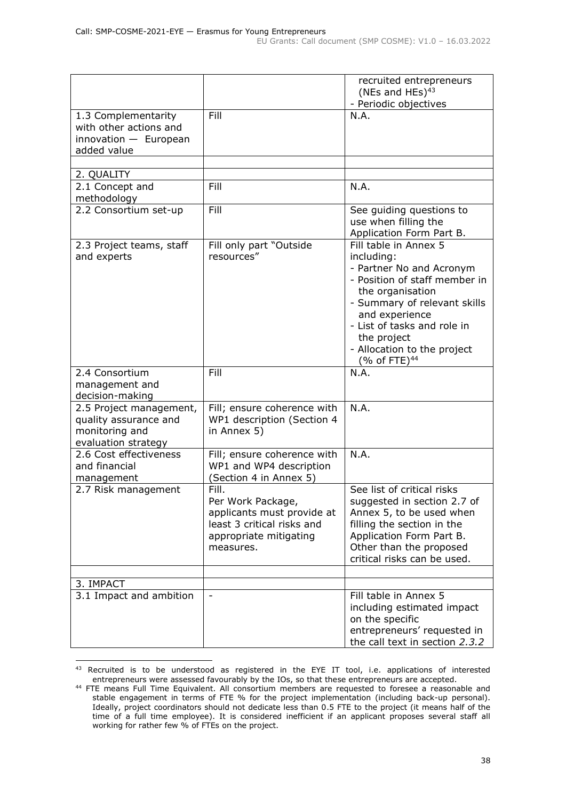|                                                                                           |                                                                                                                               | recruited entrepreneurs<br>(NEs and HEs) $43$<br>- Periodic objectives                                                                                                                                                                                                          |
|-------------------------------------------------------------------------------------------|-------------------------------------------------------------------------------------------------------------------------------|---------------------------------------------------------------------------------------------------------------------------------------------------------------------------------------------------------------------------------------------------------------------------------|
| 1.3 Complementarity<br>with other actions and<br>$innovation$ - European<br>added value   | Fill                                                                                                                          | N.A.                                                                                                                                                                                                                                                                            |
|                                                                                           |                                                                                                                               |                                                                                                                                                                                                                                                                                 |
| 2. QUALITY                                                                                |                                                                                                                               |                                                                                                                                                                                                                                                                                 |
| 2.1 Concept and<br>methodology                                                            | Fill                                                                                                                          | N.A.                                                                                                                                                                                                                                                                            |
| 2.2 Consortium set-up                                                                     | Fill                                                                                                                          | See guiding questions to<br>use when filling the<br>Application Form Part B.                                                                                                                                                                                                    |
| 2.3 Project teams, staff<br>and experts                                                   | Fill only part "Outside<br>resources"                                                                                         | Fill table in Annex 5<br>including:<br>- Partner No and Acronym<br>- Position of staff member in<br>the organisation<br>- Summary of relevant skills<br>and experience<br>- List of tasks and role in<br>the project<br>- Allocation to the project<br>(% of FTE) <sup>44</sup> |
| 2.4 Consortium<br>management and<br>decision-making                                       | Fill                                                                                                                          | N.A.                                                                                                                                                                                                                                                                            |
| 2.5 Project management,<br>quality assurance and<br>monitoring and<br>evaluation strategy | Fill; ensure coherence with<br>WP1 description (Section 4<br>in Annex 5)                                                      | N.A.                                                                                                                                                                                                                                                                            |
| 2.6 Cost effectiveness<br>and financial<br>management                                     | Fill; ensure coherence with<br>WP1 and WP4 description<br>(Section 4 in Annex 5)                                              | N.A.                                                                                                                                                                                                                                                                            |
| 2.7 Risk management                                                                       | Fill.<br>Per Work Package,<br>applicants must provide at<br>least 3 critical risks and<br>appropriate mitigating<br>measures. | See list of critical risks<br>suggested in section 2.7 of<br>Annex 5, to be used when<br>filling the section in the<br>Application Form Part B.<br>Other than the proposed<br>critical risks can be used.                                                                       |
| 3. IMPACT                                                                                 |                                                                                                                               |                                                                                                                                                                                                                                                                                 |
| 3.1 Impact and ambition                                                                   |                                                                                                                               | Fill table in Annex 5<br>including estimated impact<br>on the specific<br>entrepreneurs' requested in<br>the call text in section 2.3.2                                                                                                                                         |

<sup>43</sup> Recruited is to be understood as registered in the EYE IT tool, i.e. applications of interested entrepreneurs were assessed favourably by the IOs, so that these entrepreneurs are accepted.

<sup>&</sup>lt;sup>44</sup> FTE means Full Time Equivalent. All consortium members are requested to foresee a reasonable and stable engagement in terms of FTE % for the project implementation (including back-up personal). Ideally, project coordinators should not dedicate less than 0.5 FTE to the project (it means half of the time of a full time employee). It is considered inefficient if an applicant proposes several staff all working for rather few % of FTEs on the project.